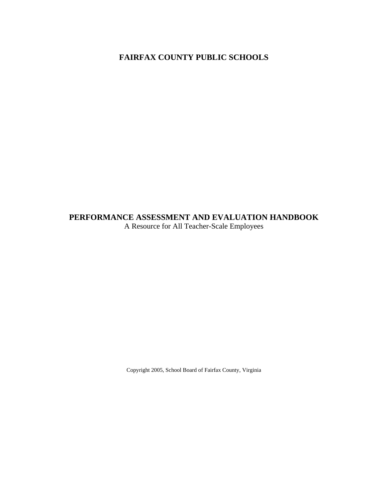## **FAIRFAX COUNTY PUBLIC SCHOOLS**

# **PERFORMANCE ASSESSMENT AND EVALUATION HANDBOOK**

A Resource for All Teacher-Scale Employees

Copyright 2005, School Board of Fairfax County, Virginia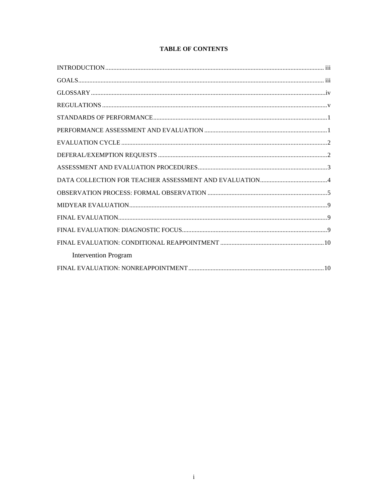## **TABLE OF CONTENTS**

| <b>Intervention Program</b> |  |
|-----------------------------|--|
|                             |  |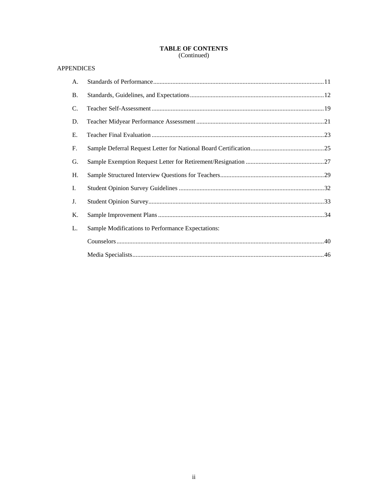# TABLE OF CONTENTS<br>(Continued)

## **APPENDICES**

| A.        |                                                   |
|-----------|---------------------------------------------------|
| <b>B.</b> |                                                   |
| C.        |                                                   |
| D.        |                                                   |
| E.        |                                                   |
| F.        |                                                   |
| G.        |                                                   |
| Η.        |                                                   |
| I.        |                                                   |
| J.        |                                                   |
| K.        |                                                   |
| L.        | Sample Modifications to Performance Expectations: |
|           |                                                   |
|           |                                                   |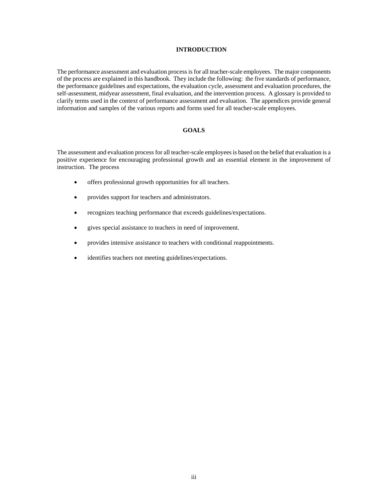#### **INTRODUCTION**

The performance assessment and evaluation process is for all teacher-scale employees. The major components of the process are explained in this handbook. They include the following: the five standards of performance, the performance guidelines and expectations, the evaluation cycle, assessment and evaluation procedures, the self-assessment, midyear assessment, final evaluation, and the intervention process. A glossary is provided to clarify terms used in the context of performance assessment and evaluation. The appendices provide general information and samples of the various reports and forms used for all teacher-scale employees.

#### **GOALS**

The assessment and evaluation process for all teacher-scale employees is based on the belief that evaluation is a positive experience for encouraging professional growth and an essential element in the improvement of instruction. The process

- offers professional growth opportunities for all teachers.
- provides support for teachers and administrators.
- recognizes teaching performance that exceeds guidelines/expectations.
- gives special assistance to teachers in need of improvement.
- provides intensive assistance to teachers with conditional reappointments.
- identifies teachers not meeting guidelines/expectations.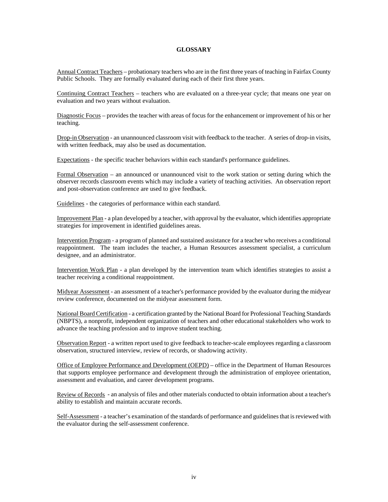#### **GLOSSARY**

Annual Contract Teachers – probationary teachers who are in the first three years of teaching in Fairfax County Public Schools. They are formally evaluated during each of their first three years.

Continuing Contract Teachers – teachers who are evaluated on a three-year cycle; that means one year on evaluation and two years without evaluation.

Diagnostic Focus – provides the teacher with areas of focus for the enhancement or improvement of his or her teaching.

Drop-in Observation - an unannounced classroom visit with feedback to the teacher. A series of drop-in visits, with written feedback, may also be used as documentation.

Expectations - the specific teacher behaviors within each standard's performance guidelines.

Formal Observation – an announced or unannounced visit to the work station or setting during which the observer records classroom events which may include a variety of teaching activities. An observation report and post-observation conference are used to give feedback.

Guidelines - the categories of performance within each standard.

Improvement Plan - a plan developed by a teacher, with approval by the evaluator, which identifies appropriate strategies for improvement in identified guidelines areas.

Intervention Program - a program of planned and sustained assistance for a teacher who receives a conditional reappointment. The team includes the teacher, a Human Resources assessment specialist, a curriculum designee, and an administrator.

Intervention Work Plan - a plan developed by the intervention team which identifies strategies to assist a teacher receiving a conditional reappointment.

Midyear Assessment - an assessment of a teacher's performance provided by the evaluator during the midyear review conference, documented on the midyear assessment form.

National Board Certification - a certification granted by the National Board for Professional Teaching Standards (NBPTS), a nonprofit, independent organization of teachers and other educational stakeholders who work to advance the teaching profession and to improve student teaching.

Observation Report - a written report used to give feedback to teacher-scale employees regarding a classroom observation, structured interview, review of records, or shadowing activity.

Office of Employee Performance and Development (OEPD) – office in the Department of Human Resources that supports employee performance and development through the administration of employee orientation, assessment and evaluation, and career development programs.

Review of Records - an analysis of files and other materials conducted to obtain information about a teacher's ability to establish and maintain accurate records.

Self-Assessment - a teacher's examination of the standards of performance and guidelines that is reviewed with the evaluator during the self-assessment conference.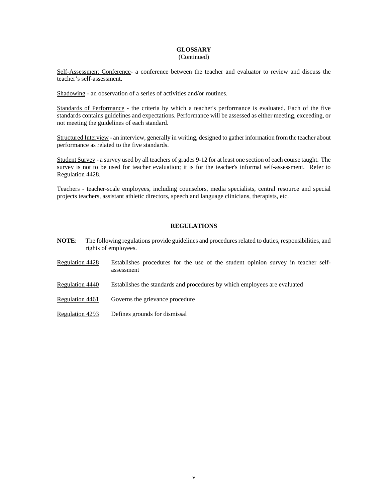#### **GLOSSARY** (Continued)

Self-Assessment Conference- a conference between the teacher and evaluator to review and discuss the teacher's self-assessment.

Shadowing - an observation of a series of activities and/or routines.

Standards of Performance - the criteria by which a teacher's performance is evaluated. Each of the five standards contains guidelines and expectations. Performance will be assessed as either meeting, exceeding, or not meeting the guidelines of each standard.

Structured Interview - an interview, generally in writing, designed to gather information from the teacher about performance as related to the five standards.

Student Survey - a survey used by all teachers of grades 9-12 for at least one section of each course taught. The survey is not to be used for teacher evaluation; it is for the teacher's informal self-assessment. Refer to Regulation 4428.

Teachers - teacher-scale employees, including counselors, media specialists, central resource and special projects teachers, assistant athletic directors, speech and language clinicians, therapists, etc.

#### **REGULATIONS**

- **NOTE**: The following regulations provide guidelines and procedures related to duties, responsibilities, and rights of employees.
- Regulation 4428 Establishes procedures for the use of the student opinion survey in teacher selfassessment
- Regulation 4440 Establishes the standards and procedures by which employees are evaluated
- Regulation 4461 Governs the grievance procedure
- Regulation 4293 Defines grounds for dismissal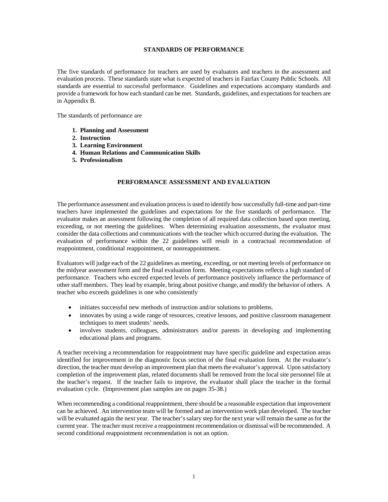#### **STANDARDS OF PERFORMANCE**

The five standards of performance for teachers are used by evaluators and teachers in the assessment and evaluation process. These standards state what is expected of teachers in Fairfax County Public Schools. All standards are essential to successful performance. Guidelines and expectations accompany standards and provide a framework for how each standard can be met. Standards, guidelines, and expectations for teachers are in Appendix B.

The standards of performance are

- **1. Planning and Assessment**
- **2. Instruction**
- **3. Learning Environment**
- **4. Human Relations and Communication Skills**
- **5. Professionalism**

#### **PERFORMANCE ASSESSMENT AND EVALUATION**

The performance assessment and evaluation process is used to identify how successfully full-time and part-time teachers have implemented the guidelines and expectations for the five standards of performance. The evaluator makes an assessment following the completion of all required data collection based upon meeting, exceeding, or not meeting the guidelines. When determining evaluation assessments, the evaluator must consider the data collections and communications with the teacher which occurred during the evaluation. The evaluation of performance within the 22 guidelines will result in a contractual recommendation of reappointment, conditional reappointment, or nonreappointment.

Evaluators will judge each of the 22 guidelines as meeting, exceeding, or not meeting levels of performance on the midyear assessment form and the final evaluation form. Meeting expectations reflects a high standard of performance. Teachers who exceed expected levels of performance positively influence the performance of other staff members. They lead by example, bring about positive change, and modify the behavior of others. A teacher who exceeds guidelines is one who consistently

- initiates successful new methods of instruction and/or solutions to problems.
- innovates by using a wide range of resources, creative lessons, and positive classroom management techniques to meet students' needs.
- involves students, colleagues, administrators and/or parents in developing and implementing educational plans and programs.

A teacher receiving a recommendation for reappointment may have specific guideline and expectation areas identified for improvement in the diagnostic focus section of the final evaluation form. At the evaluator's direction, the teacher must develop an improvement plan that meets the evaluator's approval. Upon satisfactory completion of the improvement plan, related documents shall be removed from the local site personnel file at the teacher's request. If the teacher fails to improve, the evaluator shall place the teacher in the formal evaluation cycle. (Improvement plan samples are on pages 35-38.)

When recommending a conditional reappointment, there should be a reasonable expectation that improvement can be achieved. An intervention team will be formed and an intervention work plan developed. The teacher will be evaluated again the next year. The teacher's salary step for the next year will remain the same as for the current year. The teacher must receive a reappointment recommendation or dismissal will be recommended. A second conditional reappointment recommendation is not an option.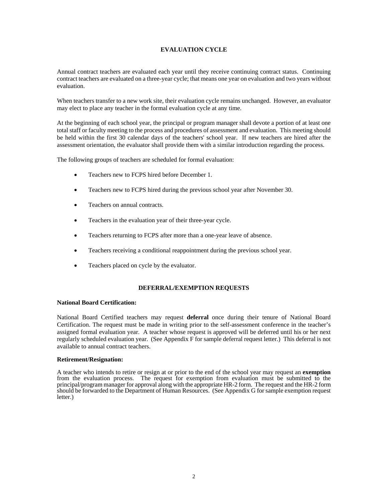## **EVALUATION CYCLE**

Annual contract teachers are evaluated each year until they receive continuing contract status. Continuing contract teachers are evaluated on a three-year cycle; that means one year on evaluation and two years without evaluation.

When teachers transfer to a new work site, their evaluation cycle remains unchanged. However, an evaluator may elect to place any teacher in the formal evaluation cycle at any time.

At the beginning of each school year, the principal or program manager shall devote a portion of at least one total staff or faculty meeting to the process and procedures of assessment and evaluation. This meeting should be held within the first 30 calendar days of the teachers' school year. If new teachers are hired after the assessment orientation, the evaluator shall provide them with a similar introduction regarding the process.

The following groups of teachers are scheduled for formal evaluation:

- Teachers new to FCPS hired before December 1.
- Teachers new to FCPS hired during the previous school year after November 30.
- Teachers on annual contracts.
- Teachers in the evaluation year of their three-year cycle.
- Teachers returning to FCPS after more than a one-year leave of absence.
- Teachers receiving a conditional reappointment during the previous school year.
- Teachers placed on cycle by the evaluator.

#### **DEFERRAL/EXEMPTION REQUESTS**

#### **National Board Certification:**

National Board Certified teachers may request **deferral** once during their tenure of National Board Certification. The request must be made in writing prior to the self-assessment conference in the teacher's assigned formal evaluation year. A teacher whose request is approved will be deferred until his or her next regularly scheduled evaluation year. (See Appendix F for sample deferral request letter.) This deferral is not available to annual contract teachers.

#### **Retirement/Resignation:**

A teacher who intends to retire or resign at or prior to the end of the school year may request an **exemption** from the evaluation process. The request for exemption from evaluation must be submitted to the principal/program manager for approval along with the appropriate HR-2 form. The request and the HR-2 form should be forwarded to the Department of Human Resources. (See Appendix G for sample exemption request letter.)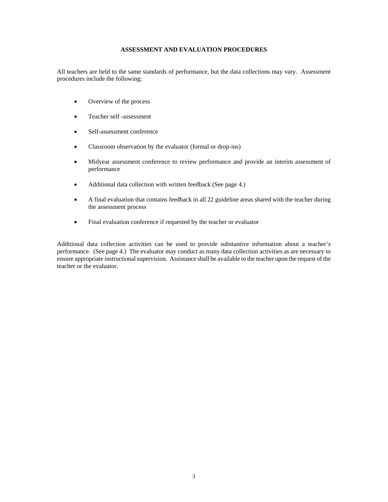## **ASSESSMENT AND EVALUATION PROCEDURES**

All teachers are held to the same standards of performance, but the data collections may vary. Assessment procedures include the following:

- Overview of the process
- Teacher self-assessment
- Self-assessment conference
- Classroom observation by the evaluator (formal or drop-ins)
- Midyear assessment conference to review performance and provide an interim assessment of performance
- Additional data collection with written feedback (See page 4.)
- A final evaluation that contains feedback in all 22 guideline areas shared with the teacher during the assessment process
- Final evaluation conference if requested by the teacher or evaluator

Additional data collection activities can be used to provide substantive information about a teacher's performance. (See page 4.) The evaluator may conduct as many data collection activities as are necessary to ensure appropriate instructional supervision. Assistance shall be available to the teacher upon the request of the teacher or the evaluator.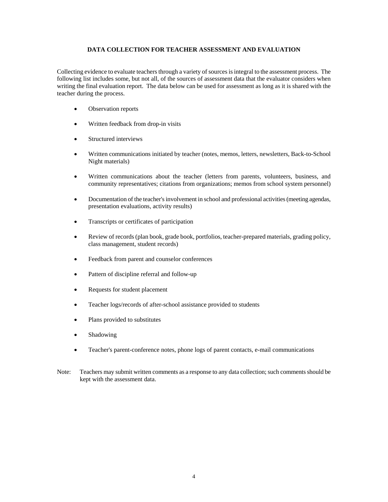#### **DATA COLLECTION FOR TEACHER ASSESSMENT AND EVALUATION**

Collecting evidence to evaluate teachers through a variety of sources is integral to the assessment process. The following list includes some, but not all, of the sources of assessment data that the evaluator considers when writing the final evaluation report. The data below can be used for assessment as long as it is shared with the teacher during the process.

- Observation reports
- Written feedback from drop-in visits
- Structured interviews
- Written communications initiated by teacher (notes, memos, letters, newsletters, Back-to-School Night materials)
- Written communications about the teacher (letters from parents, volunteers, business, and community representatives; citations from organizations; memos from school system personnel)
- Documentation of the teacher's involvement in school and professional activities (meeting agendas, presentation evaluations, activity results)
- Transcripts or certificates of participation
- Review of records (plan book, grade book, portfolios, teacher-prepared materials, grading policy, class management, student records)
- Feedback from parent and counselor conferences
- Pattern of discipline referral and follow-up
- Requests for student placement
- Teacher logs/records of after-school assistance provided to students
- Plans provided to substitutes
- **Shadowing**
- Teacher's parent-conference notes, phone logs of parent contacts, e-mail communications
- Note: Teachers may submit written comments as a response to any data collection; such comments should be kept with the assessment data.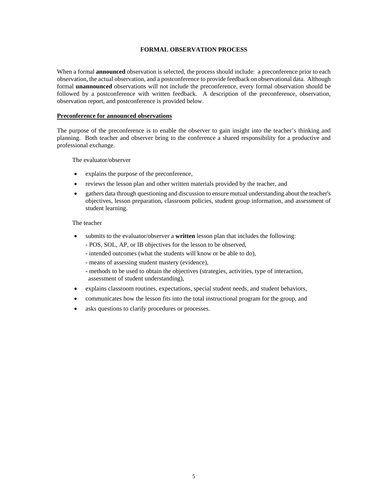#### **FORMAL OBSERVATION PROCESS**

When a formal **announced** observation is selected, the process should include: a preconference prior to each observation, the actual observation, and a postconference to provide feedback on observational data. Although formal **unannounced** observations will not include the preconference, every formal observation should be followed by a postconference with written feedback. A description of the preconference, observation, observation report, and postconference is provided below.

#### **Preconference for announced observations**

The purpose of the preconference is to enable the observer to gain insight into the teacher's thinking and planning. Both teacher and observer bring to the conference a shared responsibility for a productive and professional exchange.

The evaluator/observer

- explains the purpose of the preconference,
- reviews the lesson plan and other written materials provided by the teacher, and
- gathers data through questioning and discussion to ensure mutual understanding about the teacher's objectives, lesson preparation, classroom policies, student group information, and assessment of student learning.

#### The teacher

- submits to the evaluator/observer a **written** lesson plan that includes the following:
	- POS, SOL, AP, or IB objectives for the lesson to be observed,
	- intended outcomes (what the students will know or be able to do),
	- means of assessing student mastery (evidence),
	- methods to be used to obtain the objectives (strategies, activities, type of interaction, assessment of student understanding),
- explains classroom routines, expectations, special student needs, and student behaviors,
- communicates how the lesson fits into the total instructional program for the group, and
- asks questions to clarify procedures or processes.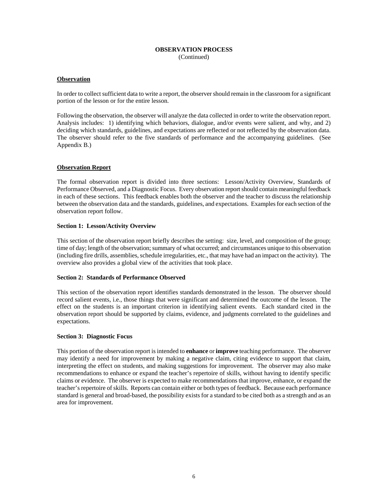#### **OBSERVATION PROCESS** (Continued)

#### **Observation**

In order to collect sufficient data to write a report, the observer should remain in the classroom for a significant portion of the lesson or for the entire lesson.

Following the observation, the observer will analyze the data collected in order to write the observation report. Analysis includes: 1) identifying which behaviors, dialogue, and/or events were salient, and why, and 2) deciding which standards, guidelines, and expectations are reflected or not reflected by the observation data. The observer should refer to the five standards of performance and the accompanying guidelines. (See Appendix B.)

#### **Observation Report**

The formal observation report is divided into three sections: Lesson/Activity Overview, Standards of Performance Observed, and a Diagnostic Focus. Every observation report should contain meaningful feedback in each of these sections. This feedback enables both the observer and the teacher to discuss the relationship between the observation data and the standards, guidelines, and expectations. Examples for each section of the observation report follow.

#### **Section 1: Lesson/Activity Overview**

This section of the observation report briefly describes the setting: size, level, and composition of the group; time of day; length of the observation; summary of what occurred; and circumstances unique to this observation (including fire drills, assemblies, schedule irregularities, etc., that may have had an impact on the activity). The overview also provides a global view of the activities that took place.

#### **Section 2: Standards of Performance Observed**

This section of the observation report identifies standards demonstrated in the lesson. The observer should record salient events, i.e., those things that were significant and determined the outcome of the lesson. The effect on the students is an important criterion in identifying salient events. Each standard cited in the observation report should be supported by claims, evidence, and judgments correlated to the guidelines and expectations.

#### **Section 3: Diagnostic Focus**

This portion of the observation report is intended to **enhance** or **improve** teaching performance. The observer may identify a need for improvement by making a negative claim, citing evidence to support that claim, interpreting the effect on students, and making suggestions for improvement. The observer may also make recommendations to enhance or expand the teacher's repertoire of skills, without having to identify specific claims or evidence. The observer is expected to make recommendations that improve, enhance, or expand the teacher's repertoire of skills. Reports can contain either or both types of feedback. Because each performance standard is general and broad-based, the possibility exists for a standard to be cited both as a strength and as an area for improvement.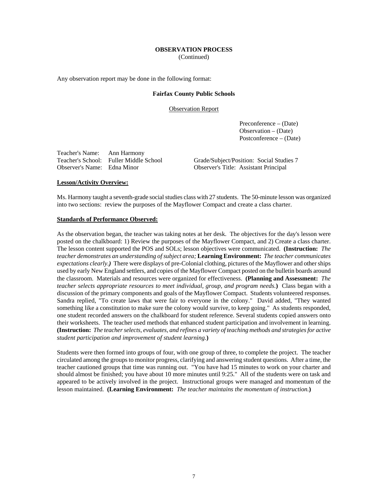## **OBSERVATION PROCESS**

(Continued)

Any observation report may be done in the following format:

#### **Fairfax County Public Schools**

Observation Report

 Preconference – (Date) Observation – (Date) Postconference – (Date)

Teacher's Name: Ann Harmony Observer's Name: Edna Minor Observer's Title: Assistant Principal

Grade/Subject/Position: Social Studies 7

#### **Lesson/Activity Overview:**

Ms. Harmony taught a seventh-grade social studies class with 27 students. The 50-minute lesson was organized into two sections: review the purposes of the Mayflower Compact and create a class charter.

#### **Standards of Performance Observed:**

As the observation began, the teacher was taking notes at her desk. The objectives for the day's lesson were posted on the chalkboard: 1) Review the purposes of the Mayflower Compact, and 2) Create a class charter. The lesson content supported the POS and SOLs; lesson objectives were communicated. **(Instruction:** *The teacher demonstrates an understanding of subject area;* **Learning Environment:** *The teacher communicates expectations clearly.)*There were displays of pre-Colonial clothing, pictures of the Mayflower and other ships used by early New England settlers, and copies of the Mayflower Compact posted on the bulletin boards around the classroom. Materials and resources were organized for effectiveness. **(Planning and Assessment:** *The teacher selects appropriate resources to meet individual, group, and program needs.***)** Class began with a discussion of the primary components and goals of the Mayflower Compact. Students volunteered responses. Sandra replied, "To create laws that were fair to everyone in the colony." David added, "They wanted something like a constitution to make sure the colony would survive, to keep going." As students responded, one student recorded answers on the chalkboard for student reference. Several students copied answers onto their worksheets. The teacher used methods that enhanced student participation and involvement in learning. **(Instruction:** *The teacher selects, evaluates, and refines a variety of teaching methods and strategies for active student participation and improvement of student learning.***)** 

Students were then formed into groups of four, with one group of three, to complete the project. The teacher circulated among the groups to monitor progress, clarifying and answering student questions. After a time, the teacher cautioned groups that time was running out. "You have had 15 minutes to work on your charter and should almost be finished; you have about 10 more minutes until 9:25." All of the students were on task and appeared to be actively involved in the project. Instructional groups were managed and momentum of the lesson maintained. **(Learning Environment:** *The teacher maintains the momentum of instruction.***)**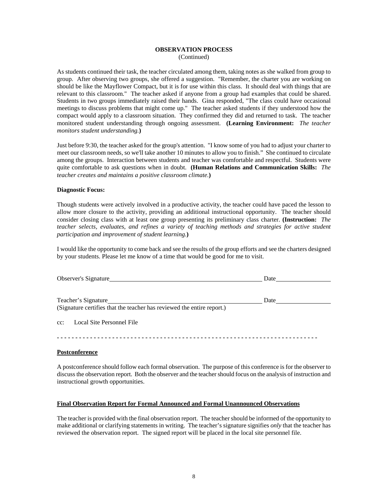#### **OBSERVATION PROCESS**  (Continued)

As students continued their task, the teacher circulated among them, taking notes as she walked from group to group. After observing two groups, she offered a suggestion. "Remember, the charter you are working on should be like the Mayflower Compact, but it is for use within this class. It should deal with things that are relevant to this classroom." The teacher asked if anyone from a group had examples that could be shared. Students in two groups immediately raised their hands. Gina responded, "The class could have occasional meetings to discuss problems that might come up." The teacher asked students if they understood how the compact would apply to a classroom situation. They confirmed they did and returned to task. The teacher monitored student understanding through ongoing assessment. **(Learning Environment:** *The teacher monitors student understanding.***)** 

Just before 9:30, the teacher asked for the group's attention. "I know some of you had to adjust your charter to meet our classroom needs, so we'll take another 10 minutes to allow you to finish." She continued to circulate among the groups. Interaction between students and teacher was comfortable and respectful. Students were quite comfortable to ask questions when in doubt. **(Human Relations and Communication Skills:** *The teacher creates and maintains a positive classroom climate.***)** 

#### **Diagnostic Focus:**

Though students were actively involved in a productive activity, the teacher could have paced the lesson to allow more closure to the activity, providing an additional instructional opportunity. The teacher should consider closing class with at least one group presenting its preliminary class charter. **(Instruction:** *The teacher selects, evaluates, and refines a variety of teaching methods and strategies for active student participation and improvement of student learning.***)** 

I would like the opportunity to come back and see the results of the group efforts and see the charters designed by your students. Please let me know of a time that would be good for me to visit.

| Observer's Signature                                                                          | Date |
|-----------------------------------------------------------------------------------------------|------|
| Teacher's Signature<br>(Signature certifies that the teacher has reviewed the entire report.) | Date |
| cc: Local Site Personnel File                                                                 |      |
|                                                                                               |      |

#### **Postconference**

A postconference should follow each formal observation. The purpose of this conference is for the observer to discuss the observation report. Both the observer and the teacher should focus on the analysis of instruction and instructional growth opportunities.

## **Final Observation Report for Formal Announced and Formal Unannounced Observations**

The teacher is provided with the final observation report. The teacher should be informed of the opportunity to make additional or clarifying statements in writing. The teacher's signature signifies *only* that the teacher has reviewed the observation report. The signed report will be placed in the local site personnel file.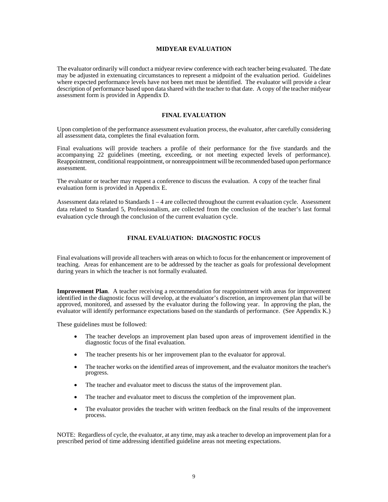#### **MIDYEAR EVALUATION**

The evaluator ordinarily will conduct a midyear review conference with each teacher being evaluated. The date may be adjusted in extenuating circumstances to represent a midpoint of the evaluation period. Guidelines where expected performance levels have not been met must be identified. The evaluator will provide a clear description of performance based upon data shared with the teacher to that date. A copy of the teacher midyear assessment form is provided in Appendix D.

#### **FINAL EVALUATION**

Upon completion of the performance assessment evaluation process, the evaluator, after carefully considering all assessment data, completes the final evaluation form.

Final evaluations will provide teachers a profile of their performance for the five standards and the accompanying 22 guidelines (meeting, exceeding, or not meeting expected levels of performance). Reappointment, conditional reappointment, or nonreappointment will be recommended based upon performance assessment.

The evaluator or teacher may request a conference to discuss the evaluation. A copy of the teacher final evaluation form is provided in Appendix E.

Assessment data related to Standards  $1 - 4$  are collected throughout the current evaluation cycle. Assessment data related to Standard 5, Professionalism, are collected from the conclusion of the teacher's last formal evaluation cycle through the conclusion of the current evaluation cycle.

#### **FINAL EVALUATION: DIAGNOSTIC FOCUS**

Final evaluations will provide all teachers with areas on which to focus for the enhancement or improvement of teaching. Areas for enhancement are to be addressed by the teacher as goals for professional development during years in which the teacher is not formally evaluated.

**Improvement Plan**. A teacher receiving a recommendation for reappointment with areas for improvement identified in the diagnostic focus will develop, at the evaluator's discretion, an improvement plan that will be approved, monitored, and assessed by the evaluator during the following year. In approving the plan, the evaluator will identify performance expectations based on the standards of performance. (See Appendix K.)

These guidelines must be followed:

- The teacher develops an improvement plan based upon areas of improvement identified in the diagnostic focus of the final evaluation.
- The teacher presents his or her improvement plan to the evaluator for approval.
- The teacher works on the identified areas of improvement, and the evaluator monitors the teacher's progress.
- The teacher and evaluator meet to discuss the status of the improvement plan.
- The teacher and evaluator meet to discuss the completion of the improvement plan.
- The evaluator provides the teacher with written feedback on the final results of the improvement process.

NOTE: Regardless of cycle, the evaluator, at any time, may ask a teacher to develop an improvement plan for a prescribed period of time addressing identified guideline areas not meeting expectations.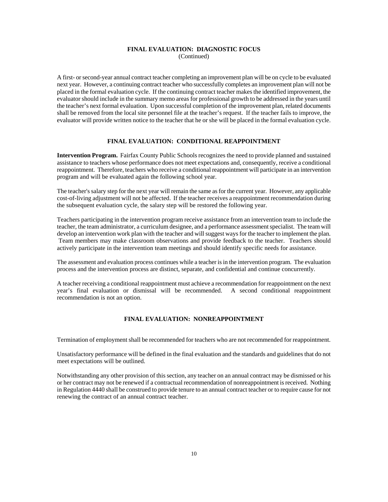## **FINAL EVALUATION: DIAGNOSTIC FOCUS**

(Continued)

A first- or second-year annual contract teacher completing an improvement plan will be on cycle to be evaluated next year. However, a continuing contract teacher who successfully completes an improvement plan will not be placed in the formal evaluation cycle. If the continuing contract teacher makes the identified improvement, the evaluator should include in the summary memo areas for professional growth to be addressed in the years until the teacher's next formal evaluation. Upon successful completion of the improvement plan, related documents shall be removed from the local site personnel file at the teacher's request. If the teacher fails to improve, the evaluator will provide written notice to the teacher that he or she will be placed in the formal evaluation cycle.

#### **FINAL EVALUATION: CONDITIONAL REAPPOINTMENT**

**Intervention Program.** Fairfax County Public Schools recognizes the need to provide planned and sustained assistance to teachers whose performance does not meet expectations and, consequently, receive a conditional reappointment. Therefore, teachers who receive a conditional reappointment will participate in an intervention program and will be evaluated again the following school year.

The teacher's salary step for the next year will remain the same as for the current year. However, any applicable cost-of-living adjustment will not be affected. If the teacher receives a reappointment recommendation during the subsequent evaluation cycle, the salary step will be restored the following year.

Teachers participating in the intervention program receive assistance from an intervention team to include the teacher, the team administrator, a curriculum designee, and a performance assessment specialist. The team will develop an intervention work plan with the teacher and will suggest ways for the teacher to implement the plan. Team members may make classroom observations and provide feedback to the teacher. Teachers should actively participate in the intervention team meetings and should identify specific needs for assistance.

The assessment and evaluation process continues while a teacher is in the intervention program. The evaluation process and the intervention process are distinct, separate, and confidential and continue concurrently.

A teacher receiving a conditional reappointment must achieve a recommendation for reappointment on the next year's final evaluation or dismissal will be recommended. A second conditional reappointment recommendation is not an option.

#### **FINAL EVALUATION: NONREAPPOINTMENT**

Termination of employment shall be recommended for teachers who are not recommended for reappointment.

Unsatisfactory performance will be defined in the final evaluation and the standards and guidelines that do not meet expectations will be outlined.

Notwithstanding any other provision of this section, any teacher on an annual contract may be dismissed or his or her contract may not be renewed if a contractual recommendation of nonreappointment is received. Nothing in Regulation 4440 shall be construed to provide tenure to an annual contract teacher or to require cause for not renewing the contract of an annual contract teacher.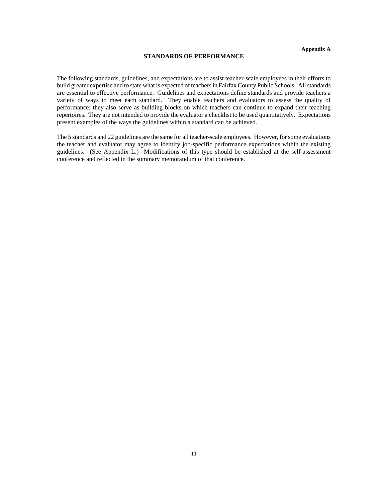#### **STANDARDS OF PERFORMANCE**

The following standards, guidelines, and expectations are to assist teacher-scale employees in their efforts to build greater expertise and to state what is expected of teachers in Fairfax County Public Schools. All standards are essential to effective performance. Guidelines and expectations define standards and provide teachers a variety of ways to meet each standard. They enable teachers and evaluators to assess the quality of performance; they also serve as building blocks on which teachers can continue to expand their teaching repertoires. They are not intended to provide the evaluator a checklist to be used quantitatively. Expectations present examples of the ways the guidelines within a standard can be achieved.

The 5 standards and 22 guidelines are the same for all teacher-scale employees. However, for some evaluations the teacher and evaluator may agree to identify job-specific performance expectations within the existing guidelines. (See Appendix L.) Modifications of this type should be established at the self-assessment conference and reflected in the summary memorandum of that conference.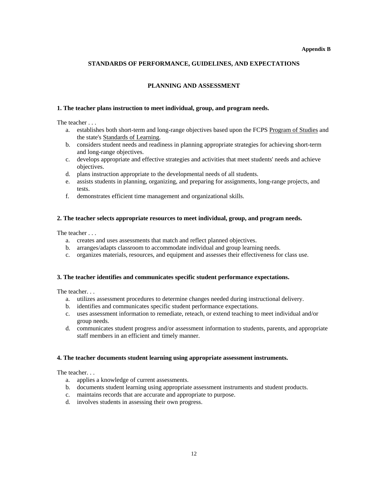#### **Appendix B**

#### **STANDARDS OF PERFORMANCE, GUIDELINES, AND EXPECTATIONS**

#### **PLANNING AND ASSESSMENT**

#### **1. The teacher plans instruction to meet individual, group, and program needs.**

The teacher . . .

- a. establishes both short-term and long-range objectives based upon the FCPS Program of Studies and the state's Standards of Learning.
- b. considers student needs and readiness in planning appropriate strategies for achieving short-term and long-range objectives.
- c. develops appropriate and effective strategies and activities that meet students' needs and achieve objectives.
- d. plans instruction appropriate to the developmental needs of all students.
- e. assists students in planning, organizing, and preparing for assignments, long-range projects, and tests.
- f. demonstrates efficient time management and organizational skills.

#### **2. The teacher selects appropriate resources to meet individual, group, and program needs.**

The teacher . . .

- a. creates and uses assessments that match and reflect planned objectives.
- b. arranges/adapts classroom to accommodate individual and group learning needs.
- c. organizes materials, resources, and equipment and assesses their effectiveness for class use.

#### **3. The teacher identifies and communicates specific student performance expectations.**

The teacher. . .

- a. utilizes assessment procedures to determine changes needed during instructional delivery.
- b. identifies and communicates specific student performance expectations.
- c. uses assessment information to remediate, reteach, or extend teaching to meet individual and/or group needs.
- d. communicates student progress and/or assessment information to students, parents, and appropriate staff members in an efficient and timely manner.

#### **4. The teacher documents student learning using appropriate assessment instruments.**

- a. applies a knowledge of current assessments.
- b. documents student learning using appropriate assessment instruments and student products.
- c. maintains records that are accurate and appropriate to purpose.
- d. involves students in assessing their own progress.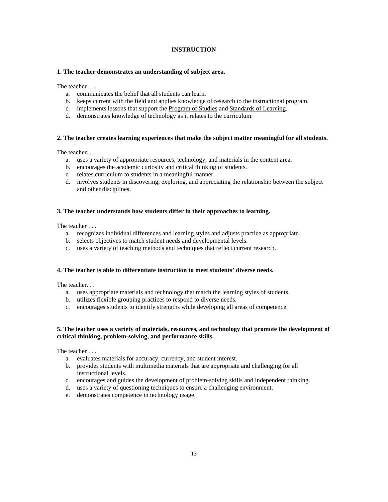#### **INSTRUCTION**

#### **1. The teacher demonstrates an understanding of subject area.**

The teacher . . .

- a. communicates the belief that all students can learn.
- b. keeps current with the field and applies knowledge of research to the instructional program.
- c. implements lessons that support the Program of Studies and Standards of Learning.
- d. demonstrates knowledge of technology as it relates to the curriculum.

#### **2. The teacher creates learning experiences that make the subject matter meaningful for all students.**

The teacher. . .

- a. uses a variety of appropriate resources, technology, and materials in the content area.
- b. encourages the academic curiosity and critical thinking of students.
- c. relates curriculum to students in a meaningful manner.
- d. involves students in discovering, exploring, and appreciating the relationship between the subject and other disciplines.

#### **3. The teacher understands how students differ in their approaches to learning.**

The teacher . . .

- a. recognizes individual differences and learning styles and adjusts practice as appropriate.
- b. selects objectives to match student needs and developmental levels.
- c. uses a variety of teaching methods and techniques that reflect current research.

## **4. The teacher is able to differentiate instruction to meet students' diverse needs.**

The teacher. . .

- a. uses appropriate materials and technology that match the learning styles of students.
- b. utilizes flexible grouping practices to respond to diverse needs.
- c. encourages students to identify strengths while developing all areas of competence.

#### **5. The teacher uses a variety of materials, resources, and technology that promote the development of critical thinking, problem-solving, and performance skills.**

- a. evaluates materials for accuracy, currency, and student interest.
- b. provides students with multimedia materials that are appropriate and challenging for all instructional levels.
- c. encourages and guides the development of problem-solving skills and independent thinking.
- d. uses a variety of questioning techniques to ensure a challenging environment.
- e. demonstrates competence in technology usage.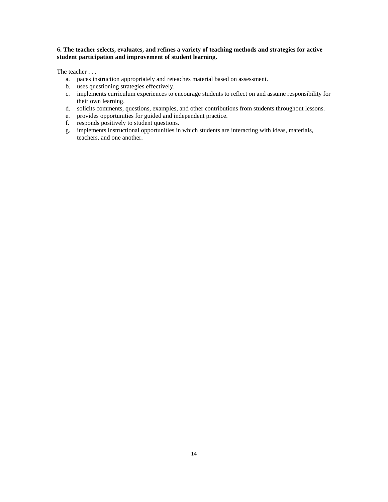#### 6**. The teacher selects, evaluates, and refines a variety of teaching methods and strategies for active student participation and improvement of student learning.**

- a. paces instruction appropriately and reteaches material based on assessment.
- b. uses questioning strategies effectively.
- c. implements curriculum experiences to encourage students to reflect on and assume responsibility for their own learning.
- d. solicits comments, questions, examples, and other contributions from students throughout lessons.
- e. provides opportunities for guided and independent practice.
- f. responds positively to student questions.
- g. implements instructional opportunities in which students are interacting with ideas, materials, teachers, and one another.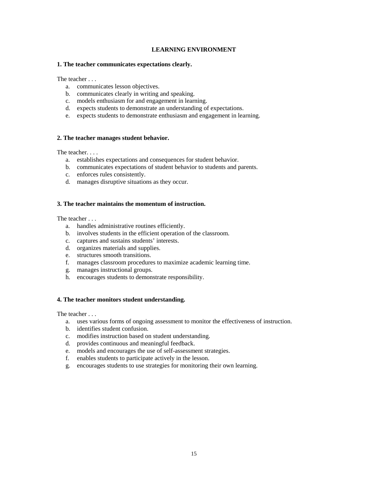#### **LEARNING ENVIRONMENT**

#### **1. The teacher communicates expectations clearly.**

The teacher . . .

- a. communicates lesson objectives.
- b. communicates clearly in writing and speaking.
- c. models enthusiasm for and engagement in learning.
- d. expects students to demonstrate an understanding of expectations.
- e. expects students to demonstrate enthusiasm and engagement in learning.

#### **2. The teacher manages student behavior.**

The teacher. . . .

- a. establishes expectations and consequences for student behavior.
- b. communicates expectations of student behavior to students and parents.
- c. enforces rules consistently.
- d. manages disruptive situations as they occur.

#### **3. The teacher maintains the momentum of instruction.**

The teacher . . .

- a. handles administrative routines efficiently.
- b. involves students in the efficient operation of the classroom.
- c. captures and sustains students' interests.
- d. organizes materials and supplies.
- e. structures smooth transitions.
- f. manages classroom procedures to maximize academic learning time.
- g. manages instructional groups.
- h. encourages students to demonstrate responsibility.

#### **4. The teacher monitors student understanding.**

- a. uses various forms of ongoing assessment to monitor the effectiveness of instruction.
- b. identifies student confusion.
- c. modifies instruction based on student understanding.
- d. provides continuous and meaningful feedback.
- e. models and encourages the use of self-assessment strategies.
- f. enables students to participate actively in the lesson.
- g. encourages students to use strategies for monitoring their own learning.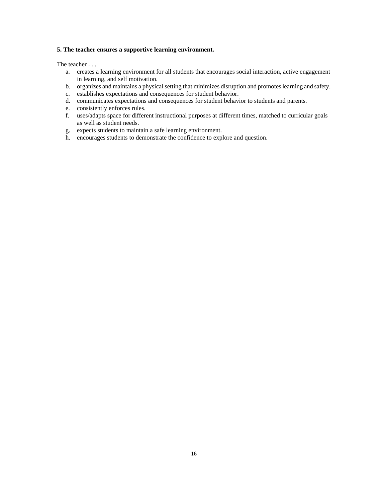#### **5. The teacher ensures a supportive learning environment.**

- a. creates a learning environment for all students that encourages social interaction, active engagement in learning, and self motivation.
- b. organizes and maintains a physical setting that minimizes disruption and promotes learning and safety.
- c. establishes expectations and consequences for student behavior.
- d. communicates expectations and consequences for student behavior to students and parents.
- e. consistently enforces rules.
- f. uses/adapts space for different instructional purposes at different times, matched to curricular goals as well as student needs.
- g. expects students to maintain a safe learning environment.
- h. encourages students to demonstrate the confidence to explore and question.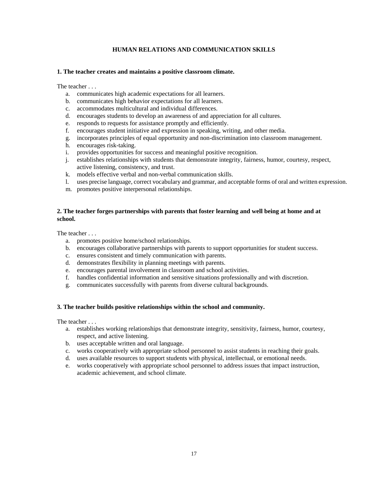#### **HUMAN RELATIONS AND COMMUNICATION SKILLS**

#### **1. The teacher creates and maintains a positive classroom climate.**

The teacher . . .

- a. communicates high academic expectations for all learners.
- b. communicates high behavior expectations for all learners.
- c. accommodates multicultural and individual differences.
- d. encourages students to develop an awareness of and appreciation for all cultures.
- e. responds to requests for assistance promptly and efficiently.
- f. encourages student initiative and expression in speaking, writing, and other media.
- g. incorporates principles of equal opportunity and non-discrimination into classroom management.
- h. encourages risk-taking.
- i. provides opportunities for success and meaningful positive recognition.
- j. establishes relationships with students that demonstrate integrity, fairness, humor, courtesy, respect, active listening, consistency, and trust.
- k. models effective verbal and non-verbal communication skills.
- l. uses precise language, correct vocabulary and grammar, and acceptable forms of oral and written expression.
- m. promotes positive interpersonal relationships.

#### **2. The teacher forges partnerships with parents that foster learning and well being at home and at school.**

The teacher

- a. promotes positive home/school relationships.
- b. encourages collaborative partnerships with parents to support opportunities for student success.
- c. ensures consistent and timely communication with parents.
- d. demonstrates flexibility in planning meetings with parents.
- e. encourages parental involvement in classroom and school activities.
- f. handles confidential information and sensitive situations professionally and with discretion.
- g. communicates successfully with parents from diverse cultural backgrounds.

#### **3. The teacher builds positive relationships within the school and community.**

- a. establishes working relationships that demonstrate integrity, sensitivity, fairness, humor, courtesy, respect, and active listening.
- b. uses acceptable written and oral language.
- c. works cooperatively with appropriate school personnel to assist students in reaching their goals.
- d. uses available resources to support students with physical, intellectual, or emotional needs.
- e. works cooperatively with appropriate school personnel to address issues that impact instruction, academic achievement, and school climate.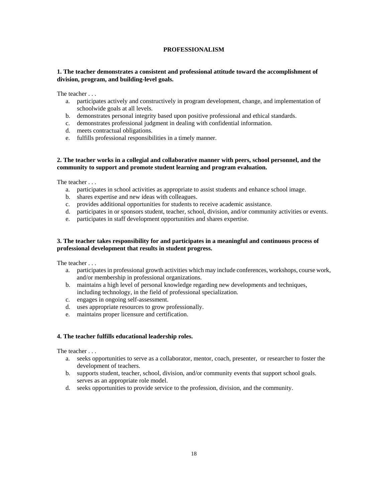#### **PROFESSIONALISM**

#### **1. The teacher demonstrates a consistent and professional attitude toward the accomplishment of division, program, and building-level goals.**

The teacher . . .

- a. participates actively and constructively in program development, change, and implementation of schoolwide goals at all levels.
- b. demonstrates personal integrity based upon positive professional and ethical standards.
- c. demonstrates professional judgment in dealing with confidential information.
- d. meets contractual obligations.
- e. fulfills professional responsibilities in a timely manner.

#### **2. The teacher works in a collegial and collaborative manner with peers, school personnel, and the community to support and promote student learning and program evaluation.**

The teacher . . .

- a. participates in school activities as appropriate to assist students and enhance school image.
- b. shares expertise and new ideas with colleagues.
- c. provides additional opportunities for students to receive academic assistance.
- d. participates in or sponsors student, teacher, school, division, and/or community activities or events.
- e. participates in staff development opportunities and shares expertise.

#### **3. The teacher takes responsibility for and participates in a meaningful and continuous process of professional development that results in student progress.**

The teacher . . .

- a. participates in professional growth activities which may include conferences, workshops, course work, and/or membership in professional organizations.
- b. maintains a high level of personal knowledge regarding new developments and techniques, including technology, in the field of professional specialization.
- c. engages in ongoing self-assessment.
- d. uses appropriate resources to grow professionally.
- e. maintains proper licensure and certification.

#### **4. The teacher fulfills educational leadership roles.**

- a. seeks opportunities to serve as a collaborator, mentor, coach, presenter, or researcher to foster the development of teachers.
- b. supports student, teacher, school, division, and/or community events that support school goals. serves as an appropriate role model.
- d. seeks opportunities to provide service to the profession, division, and the community.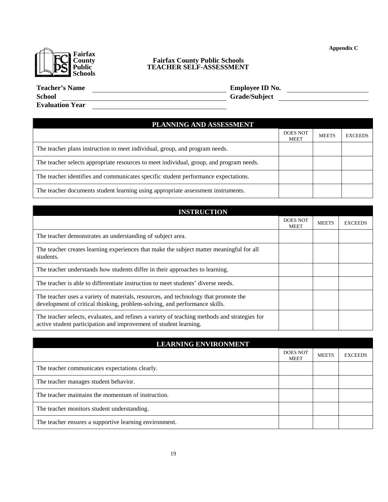**Appendix C** 



## **County Fairfax County Public Schools EXAMPLE PUblic TEACHER SELF-ASSESSMENT**

| <b>Teacher's Name</b>  |  |
|------------------------|--|
| <b>School</b>          |  |
| <b>Evaluation Year</b> |  |

**Temployee ID No. Temployee ID No. Temployee ID No. Temployee ID No. Temployee ID** No. **School Grade/Subject Constant Constant Constant Constant Constant Constant Constant Constant Constant Constant Constant Constant Constant Constant Constant Constant Constant Constant Constant Constant Constant Constant** 

| PLANNING AND ASSESSMENT                                                                 |                                |              |                |
|-----------------------------------------------------------------------------------------|--------------------------------|--------------|----------------|
|                                                                                         | <b>DOES NOT</b><br><b>MEET</b> | <b>MEETS</b> | <b>EXCEEDS</b> |
| The teacher plans instruction to meet individual, group, and program needs.             |                                |              |                |
| The teacher selects appropriate resources to meet individual, group, and program needs. |                                |              |                |
| The teacher identifies and communicates specific student performance expectations.      |                                |              |                |
| The teacher documents student learning using appropriate assessment instruments.        |                                |              |                |

| <b>INSTRUCTION</b>                                                                                                                                                |                                |              |                |
|-------------------------------------------------------------------------------------------------------------------------------------------------------------------|--------------------------------|--------------|----------------|
|                                                                                                                                                                   | <b>DOES NOT</b><br><b>MEET</b> | <b>MEETS</b> | <b>EXCEEDS</b> |
| The teacher demonstrates an understanding of subject area.                                                                                                        |                                |              |                |
| The teacher creates learning experiences that make the subject matter meaningful for all<br>students.                                                             |                                |              |                |
| The teacher understands how students differ in their approaches to learning.                                                                                      |                                |              |                |
| The teacher is able to differentiate instruction to meet students' diverse needs.                                                                                 |                                |              |                |
| The teacher uses a variety of materials, resources, and technology that promote the<br>development of critical thinking, problem-solving, and performance skills. |                                |              |                |
| The teacher selects, evaluates, and refines a variety of teaching methods and strategies for<br>active student participation and improvement of student learning. |                                |              |                |

| <b>LEARNING ENVIRONMENT</b>                            |                                |              |                |
|--------------------------------------------------------|--------------------------------|--------------|----------------|
|                                                        | <b>DOES NOT</b><br><b>MEET</b> | <b>MEETS</b> | <b>EXCEEDS</b> |
| The teacher communicates expectations clearly.         |                                |              |                |
| The teacher manages student behavior.                  |                                |              |                |
| The teacher maintains the momentum of instruction.     |                                |              |                |
| The teacher monitors student understanding.            |                                |              |                |
| The teacher ensures a supportive learning environment. |                                |              |                |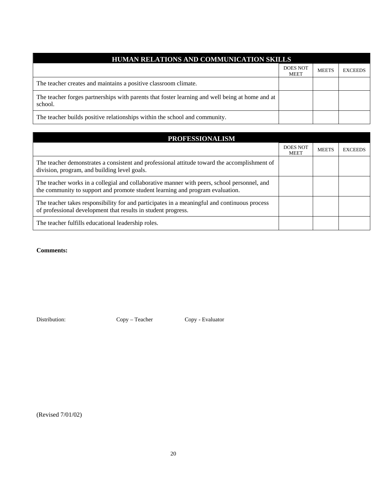## **HUMAN RELATIONS AND COMMUNICATION SKILLS**  DOES NOT MEET MEETS EXCEEDS The teacher creates and maintains a positive classroom climate. The teacher forges partnerships with parents that foster learning and well being at home and at school. The teacher builds positive relationships within the school and community.

| <b>PROFESSIONALISM</b>                                                                                                                                                       |                                |              |                |
|------------------------------------------------------------------------------------------------------------------------------------------------------------------------------|--------------------------------|--------------|----------------|
|                                                                                                                                                                              | <b>DOES NOT</b><br><b>MEET</b> | <b>MEETS</b> | <b>EXCEEDS</b> |
| The teacher demonstrates a consistent and professional attitude toward the accomplishment of<br>division, program, and building level goals.                                 |                                |              |                |
| The teacher works in a collegial and collaborative manner with peers, school personnel, and<br>the community to support and promote student learning and program evaluation. |                                |              |                |
| The teacher takes responsibility for and participates in a meaningful and continuous process<br>of professional development that results in student progress.                |                                |              |                |
| The teacher fulfills educational leadership roles.                                                                                                                           |                                |              |                |

**Comments:** 

Distribution: Copy – Teacher Copy - Evaluator

(Revised 7/01/02)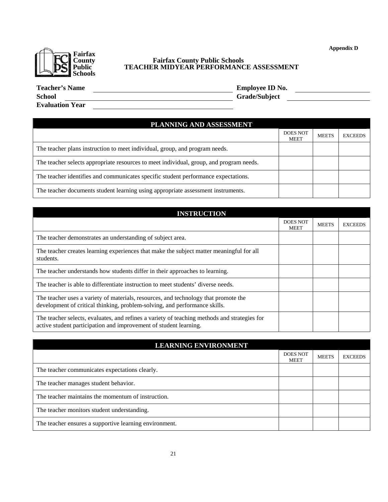**Appendix D** 



## **County Fairfax County Public Schools IL DS Public TEACHER MIDYEAR PERFORMANCE ASSESSMENT**

| <b>Teacher's Name</b>  | <b>Employee ID No.</b> |
|------------------------|------------------------|
| <b>School</b>          | <b>Grade/Subject</b>   |
| <b>Evaluation Year</b> |                        |

| PLANNING AND ASSESSMENT                                                                 |                                |              |                |
|-----------------------------------------------------------------------------------------|--------------------------------|--------------|----------------|
|                                                                                         | <b>DOES NOT</b><br><b>MEET</b> | <b>MEETS</b> | <b>EXCEEDS</b> |
| The teacher plans instruction to meet individual, group, and program needs.             |                                |              |                |
| The teacher selects appropriate resources to meet individual, group, and program needs. |                                |              |                |
| The teacher identifies and communicates specific student performance expectations.      |                                |              |                |
| The teacher documents student learning using appropriate assessment instruments.        |                                |              |                |

| <b>INSTRUCTION</b>                                                                                                                                                |                                |              |                |
|-------------------------------------------------------------------------------------------------------------------------------------------------------------------|--------------------------------|--------------|----------------|
|                                                                                                                                                                   | <b>DOES NOT</b><br><b>MEET</b> | <b>MEETS</b> | <b>EXCEEDS</b> |
| The teacher demonstrates an understanding of subject area.                                                                                                        |                                |              |                |
| The teacher creates learning experiences that make the subject matter meaningful for all<br>students.                                                             |                                |              |                |
| The teacher understands how students differ in their approaches to learning.                                                                                      |                                |              |                |
| The teacher is able to differentiate instruction to meet students' diverse needs.                                                                                 |                                |              |                |
| The teacher uses a variety of materials, resources, and technology that promote the<br>development of critical thinking, problem-solving, and performance skills. |                                |              |                |
| The teacher selects, evaluates, and refines a variety of teaching methods and strategies for<br>active student participation and improvement of student learning. |                                |              |                |

| <b>LEARNING ENVIRONMENT</b>                            |                                |              |                |
|--------------------------------------------------------|--------------------------------|--------------|----------------|
|                                                        | <b>DOES NOT</b><br><b>MEET</b> | <b>MEETS</b> | <b>EXCEEDS</b> |
| The teacher communicates expectations clearly.         |                                |              |                |
| The teacher manages student behavior.                  |                                |              |                |
| The teacher maintains the momentum of instruction.     |                                |              |                |
| The teacher monitors student understanding.            |                                |              |                |
| The teacher ensures a supportive learning environment. |                                |              |                |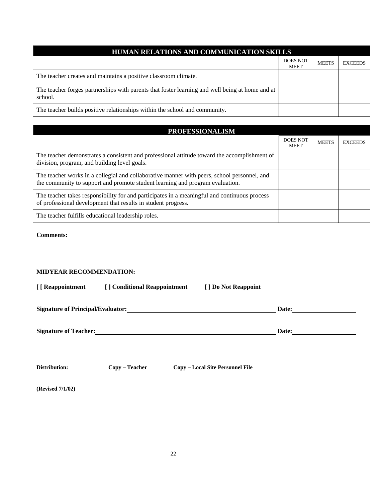| HUMAN RELATIONS AND COMMUNICATION SKILLS                                                                   |                                |              |                |  |
|------------------------------------------------------------------------------------------------------------|--------------------------------|--------------|----------------|--|
|                                                                                                            | <b>DOES NOT</b><br><b>MEET</b> | <b>MEETS</b> | <b>EXCEEDS</b> |  |
| The teacher creates and maintains a positive classroom climate.                                            |                                |              |                |  |
| The teacher forges partnerships with parents that foster learning and well being at home and at<br>school. |                                |              |                |  |
| The teacher builds positive relationships within the school and community.                                 |                                |              |                |  |

| <b>PROFESSIONALISM</b>                                                                                                                                                       |                                |              |                |  |
|------------------------------------------------------------------------------------------------------------------------------------------------------------------------------|--------------------------------|--------------|----------------|--|
|                                                                                                                                                                              | <b>DOES NOT</b><br><b>MEET</b> | <b>MEETS</b> | <b>EXCEEDS</b> |  |
| The teacher demonstrates a consistent and professional attitude toward the accomplishment of<br>division, program, and building level goals.                                 |                                |              |                |  |
| The teacher works in a collegial and collaborative manner with peers, school personnel, and<br>the community to support and promote student learning and program evaluation. |                                |              |                |  |
| The teacher takes responsibility for and participates in a meaningful and continuous process<br>of professional development that results in student progress.                |                                |              |                |  |
| The teacher fulfills educational leadership roles.                                                                                                                           |                                |              |                |  |

**Comments:** 

## **MIDYEAR RECOMMENDATION:**

| [ [ Reappointment            | [] Conditional Reappointment                                                                                                                                                                                                         | [] Do Not Reappoint |       |  |
|------------------------------|--------------------------------------------------------------------------------------------------------------------------------------------------------------------------------------------------------------------------------------|---------------------|-------|--|
|                              | Signature of Principal/Evaluator:<br><u> and</u> the contract of the contract of the contract of the contract of the contract of the contract of the contract of the contract of the contract of the contract of the contract of the |                     | Date: |  |
| <b>Signature of Teacher:</b> |                                                                                                                                                                                                                                      |                     | Date: |  |
|                              |                                                                                                                                                                                                                                      |                     |       |  |

**(Revised 7/1/02)**

**Distribution: Copy – Teacher Copy – Local Site Personnel File**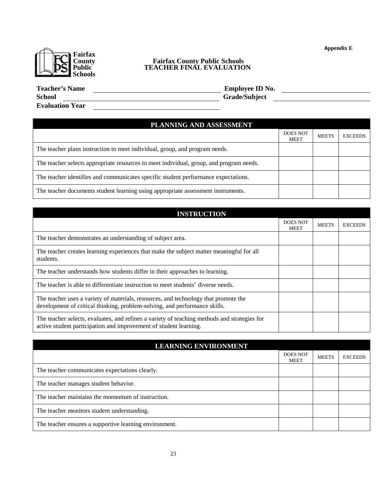**Appendix E** 



## **County Fairfax County Public Schools IL DE Public TEACHER FINAL EVALUATION**

| <b>Teacher's Name</b>  | <b>Employee ID No.</b> |
|------------------------|------------------------|
| <b>School</b>          | <b>Grade/Subject</b>   |
| <b>Evaluation Year</b> |                        |

| PLANNING AND ASSESSMENT                                                                 |                                |              |                |
|-----------------------------------------------------------------------------------------|--------------------------------|--------------|----------------|
|                                                                                         | <b>DOES NOT</b><br><b>MEET</b> | <b>MEETS</b> | <b>EXCEEDS</b> |
| The teacher plans instruction to meet individual, group, and program needs.             |                                |              |                |
| The teacher selects appropriate resources to meet individual, group, and program needs. |                                |              |                |
| The teacher identifies and communicates specific student performance expectations.      |                                |              |                |
| The teacher documents student learning using appropriate assessment instruments.        |                                |              |                |

| <b>INSTRUCTION</b>                                                                                                                                                |                                |              |                |
|-------------------------------------------------------------------------------------------------------------------------------------------------------------------|--------------------------------|--------------|----------------|
|                                                                                                                                                                   | <b>DOES NOT</b><br><b>MEET</b> | <b>MEETS</b> | <b>EXCEEDS</b> |
| The teacher demonstrates an understanding of subject area.                                                                                                        |                                |              |                |
| The teacher creates learning experiences that make the subject matter meaningful for all<br>students.                                                             |                                |              |                |
| The teacher understands how students differ in their approaches to learning.                                                                                      |                                |              |                |
| The teacher is able to differentiate instruction to meet students' diverse needs.                                                                                 |                                |              |                |
| The teacher uses a variety of materials, resources, and technology that promote the<br>development of critical thinking, problem-solving, and performance skills. |                                |              |                |
| The teacher selects, evaluates, and refines a variety of teaching methods and strategies for<br>active student participation and improvement of student learning. |                                |              |                |

| <b>LEARNING ENVIRONMENT</b>                            |                                |              |                |  |
|--------------------------------------------------------|--------------------------------|--------------|----------------|--|
|                                                        | <b>DOES NOT</b><br><b>MEET</b> | <b>MEETS</b> | <b>EXCEEDS</b> |  |
| The teacher communicates expectations clearly.         |                                |              |                |  |
| The teacher manages student behavior.                  |                                |              |                |  |
| The teacher maintains the momentum of instruction.     |                                |              |                |  |
| The teacher monitors student understanding.            |                                |              |                |  |
| The teacher ensures a supportive learning environment. |                                |              |                |  |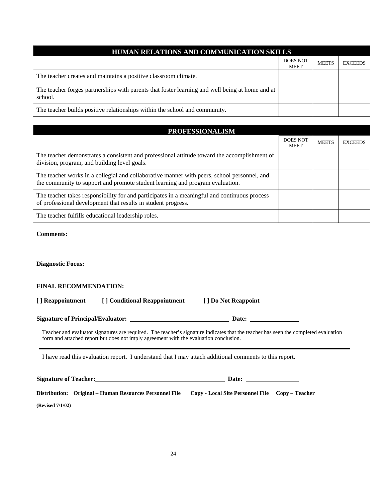| HUMAN RELATIONS AND COMMUNICATION SKILLS                                                                   |                                |              |                |  |
|------------------------------------------------------------------------------------------------------------|--------------------------------|--------------|----------------|--|
|                                                                                                            | <b>DOES NOT</b><br><b>MEET</b> | <b>MEETS</b> | <b>EXCEEDS</b> |  |
| The teacher creates and maintains a positive classroom climate.                                            |                                |              |                |  |
| The teacher forges partnerships with parents that foster learning and well being at home and at<br>school. |                                |              |                |  |
| The teacher builds positive relationships within the school and community.                                 |                                |              |                |  |

| <b>PROFESSIONALISM</b>                                                                                                                                                       |                                |              |                |  |
|------------------------------------------------------------------------------------------------------------------------------------------------------------------------------|--------------------------------|--------------|----------------|--|
|                                                                                                                                                                              | <b>DOES NOT</b><br><b>MEET</b> | <b>MEETS</b> | <b>EXCEEDS</b> |  |
| The teacher demonstrates a consistent and professional attitude toward the accomplishment of<br>division, program, and building level goals.                                 |                                |              |                |  |
| The teacher works in a collegial and collaborative manner with peers, school personnel, and<br>the community to support and promote student learning and program evaluation. |                                |              |                |  |
| The teacher takes responsibility for and participates in a meaningful and continuous process<br>of professional development that results in student progress.                |                                |              |                |  |
| The teacher fulfills educational leadership roles.                                                                                                                           |                                |              |                |  |

**Comments:** 

**Diagnostic Focus:** 

## **FINAL RECOMMENDATION:**

| [ ] Reappointment | [] Conditional Reappointment | [ ] Do Not Reappoint |
|-------------------|------------------------------|----------------------|
|-------------------|------------------------------|----------------------|

**Signature of Principal/Evaluator: Date:** 

Teacher and evaluator signatures are required. The teacher's signature indicates that the teacher has seen the completed evaluation form and attached report but does not imply agreement with the evaluation conclusion.

I have read this evaluation report. I understand that I may attach additional comments to this report.

**Signature of Teacher: Date: Date: Date: Date: Date: Date: Date: Date: Date: Date: Date: Date: Date: Date: Date: Date: Date: Date: Date: Date: Date: Date: Date: Date: Date:** 

**Distribution: Original – Human Resources Personnel File Copy - Local Site Personnel File Copy – Teacher (Revised 7/1/02)**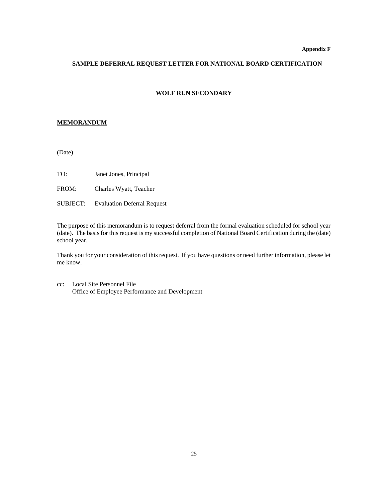#### **SAMPLE DEFERRAL REQUEST LETTER FOR NATIONAL BOARD CERTIFICATION**

#### **WOLF RUN SECONDARY**

#### **MEMORANDUM**

(Date)

TO: Janet Jones, Principal

FROM: Charles Wyatt, Teacher

SUBJECT: Evaluation Deferral Request

The purpose of this memorandum is to request deferral from the formal evaluation scheduled for school year (date). The basis for this request is my successful completion of National Board Certification during the (date) school year.

Thank you for your consideration of this request. If you have questions or need further information, please let me know.

cc: Local Site Personnel File Office of Employee Performance and Development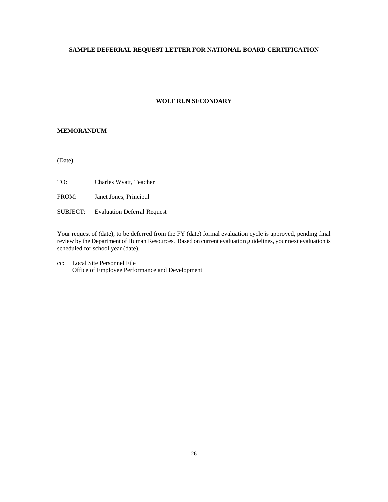## **SAMPLE DEFERRAL REQUEST LETTER FOR NATIONAL BOARD CERTIFICATION**

## **WOLF RUN SECONDARY**

## **MEMORANDUM**

(Date)

TO: Charles Wyatt, Teacher

FROM: Janet Jones, Principal

SUBJECT: Evaluation Deferral Request

Your request of (date), to be deferred from the FY (date) formal evaluation cycle is approved, pending final review by the Department of Human Resources. Based on current evaluation guidelines, your next evaluation is scheduled for school year (date).

cc: Local Site Personnel File Office of Employee Performance and Development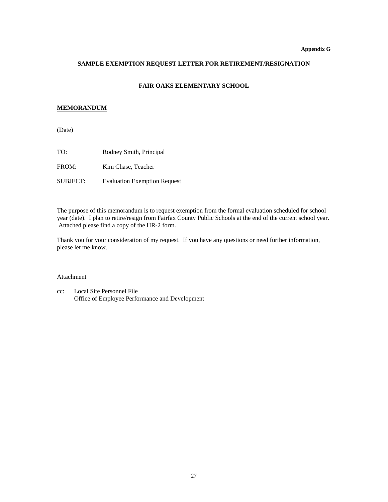#### **Appendix G**

## **SAMPLE EXEMPTION REQUEST LETTER FOR RETIREMENT/RESIGNATION**

#### **FAIR OAKS ELEMENTARY SCHOOL**

## **MEMORANDUM**

(Date)

| TO:             | Rodney Smith, Principal             |
|-----------------|-------------------------------------|
| FROM:           | Kim Chase, Teacher                  |
| <b>SUBJECT:</b> | <b>Evaluation Exemption Request</b> |

The purpose of this memorandum is to request exemption from the formal evaluation scheduled for school year (date). I plan to retire/resign from Fairfax County Public Schools at the end of the current school year. Attached please find a copy of the HR-2 form.

Thank you for your consideration of my request. If you have any questions or need further information, please let me know.

#### Attachment

cc: Local Site Personnel File Office of Employee Performance and Development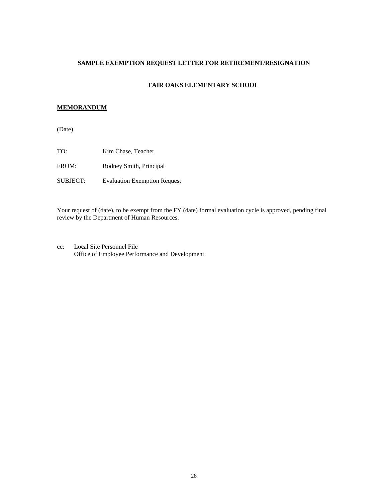## **SAMPLE EXEMPTION REQUEST LETTER FOR RETIREMENT/RESIGNATION**

#### **FAIR OAKS ELEMENTARY SCHOOL**

#### **MEMORANDUM**

(Date)

TO: Kim Chase, Teacher FROM: Rodney Smith, Principal SUBJECT: Evaluation Exemption Request

Your request of (date), to be exempt from the FY (date) formal evaluation cycle is approved, pending final review by the Department of Human Resources.

cc: Local Site Personnel File Office of Employee Performance and Development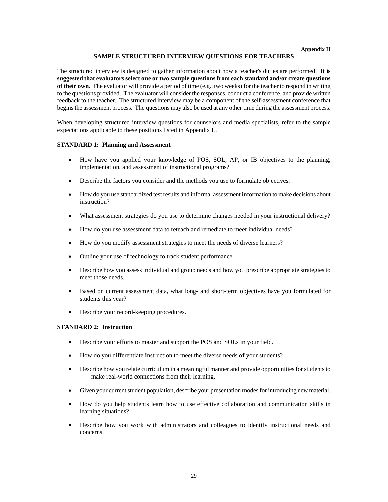#### **SAMPLE STRUCTURED INTERVIEW QUESTIONS FOR TEACHERS**

The structured interview is designed to gather information about how a teacher's duties are performed. **It is suggested that evaluators select one or two sample questions from each standard and/or create questions of their own.** The evaluator will provide a period of time (e.g., two weeks) for the teacher to respond in writing to the questions provided. The evaluator will consider the responses, conduct a conference, and provide written feedback to the teacher. The structured interview may be a component of the self-assessment conference that begins the assessment process. The questions may also be used at any other time during the assessment process.

When developing structured interview questions for counselors and media specialists, refer to the sample expectations applicable to these positions listed in Appendix L.

#### **STANDARD 1: Planning and Assessment**

- How have you applied your knowledge of POS, SOL, AP, or IB objectives to the planning, implementation, and assessment of instructional programs?
- Describe the factors you consider and the methods you use to formulate objectives.
- How do you use standardized test results and informal assessment information to make decisions about instruction?
- What assessment strategies do you use to determine changes needed in your instructional delivery?
- How do you use assessment data to reteach and remediate to meet individual needs?
- How do you modify assessment strategies to meet the needs of diverse learners?
- Outline your use of technology to track student performance.
- Describe how you assess individual and group needs and how you prescribe appropriate strategies to meet those needs.
- Based on current assessment data, what long- and short-term objectives have you formulated for students this year?
- Describe your record-keeping procedures.

#### **STANDARD 2: Instruction**

- Describe your efforts to master and support the POS and SOLs in your field.
- How do you differentiate instruction to meet the diverse needs of your students?
- Describe how you relate curriculum in a meaningful manner and provide opportunities for students to make real-world connections from their learning.
- Given your current student population, describe your presentation modes for introducing new material.
- How do you help students learn how to use effective collaboration and communication skills in learning situations?
- Describe how you work with administrators and colleagues to identify instructional needs and concerns.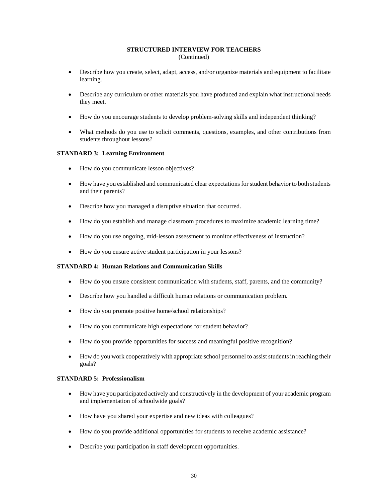#### **STRUCTURED INTERVIEW FOR TEACHERS** (Continued)

- Describe how you create, select, adapt, access, and/or organize materials and equipment to facilitate learning.
- Describe any curriculum or other materials you have produced and explain what instructional needs they meet.
- How do you encourage students to develop problem-solving skills and independent thinking?
- What methods do you use to solicit comments, questions, examples, and other contributions from students throughout lessons?

#### **STANDARD 3: Learning Environment**

- How do you communicate lesson objectives?
- How have you established and communicated clear expectations for student behavior to both students and their parents?
- Describe how you managed a disruptive situation that occurred.
- How do you establish and manage classroom procedures to maximize academic learning time?
- How do you use ongoing, mid-lesson assessment to monitor effectiveness of instruction?
- How do you ensure active student participation in your lessons?

#### **STANDARD 4: Human Relations and Communication Skills**

- How do you ensure consistent communication with students, staff, parents, and the community?
- Describe how you handled a difficult human relations or communication problem.
- How do you promote positive home/school relationships?
- How do you communicate high expectations for student behavior?
- How do you provide opportunities for success and meaningful positive recognition?
- How do you work cooperatively with appropriate school personnel to assist students in reaching their goals?

#### **STANDARD 5: Professionalism**

- How have you participated actively and constructively in the development of your academic program and implementation of schoolwide goals?
- How have you shared your expertise and new ideas with colleagues?
- How do you provide additional opportunities for students to receive academic assistance?
- Describe your participation in staff development opportunities.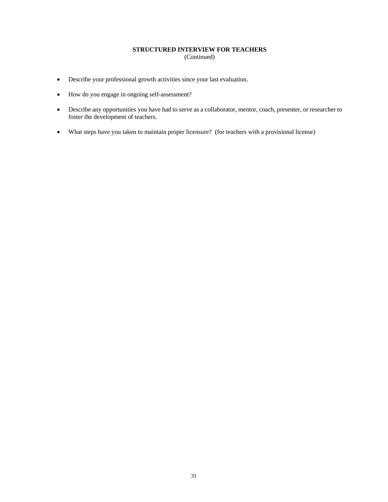## **STRUCTURED INTERVIEW FOR TEACHERS**

(Continued)

- Describe your professional growth activities since your last evaluation.
- How do you engage in ongoing self-assessment?
- Describe any opportunities you have had to serve as a collaborator, mentor, coach, presenter, or researcher to foster the development of teachers.
- What steps have you taken to maintain proper licensure? (for teachers with a provisional license)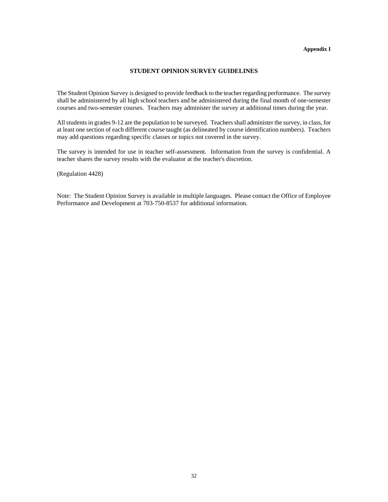#### **Appendix I**

## **STUDENT OPINION SURVEY GUIDELINES**

The Student Opinion Survey is designed to provide feedback to the teacher regarding performance. The survey shall be administered by all high school teachers and be administered during the final month of one-semester courses and two-semester courses. Teachers may administer the survey at additional times during the year.

All students in grades 9-12 are the population to be surveyed. Teachers shall administer the survey, in class, for at least one section of each different course taught (as delineated by course identification numbers). Teachers may add questions regarding specific classes or topics not covered in the survey.

The survey is intended for use in teacher self-assessment. Information from the survey is confidential. A teacher shares the survey results with the evaluator at the teacher's discretion.

(Regulation 4428)

Note: The Student Opinion Survey is available in multiple languages. Please contact the Office of Employee Performance and Development at 703-750-8537 for additional information.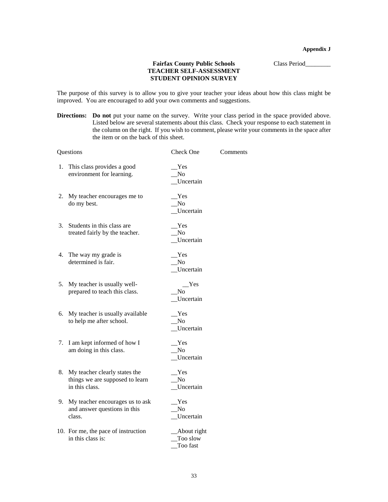**Appendix J** 

## Fairfax County Public Schools Class Period\_\_\_\_\_\_\_\_\_\_ **TEACHER SELF-ASSESSMENT STUDENT OPINION SURVEY**

The purpose of this survey is to allow you to give your teacher your ideas about how this class might be improved. You are encouraged to add your own comments and suggestions.

**Directions: Do not** put your name on the survey. Write your class period in the space provided above. Listed below are several statements about this class. Check your response to each statement in the column on the right. If you wish to comment, please write your comments in the space after the item or on the back of this sheet.

|      | Questions                                                                          | Check One                           | Comments |
|------|------------------------------------------------------------------------------------|-------------------------------------|----------|
| 1.   | This class provides a good<br>environment for learning.                            | Yes<br>No<br>Uncertain              |          |
| 2.   | My teacher encourages me to<br>do my best.                                         | Yes<br>$\rm No$<br>Uncertain        |          |
| 3.   | Students in this class are<br>treated fairly by the teacher.                       | Yes<br>No<br>Uncertain              |          |
| 4.   | The way my grade is<br>determined is fair.                                         | Yes<br>N <sub>o</sub><br>Uncertain  |          |
|      | 5. My teacher is usually well-<br>prepared to teach this class.                    | Yes<br>N <sub>0</sub><br>Uncertain  |          |
| 6.   | My teacher is usually available<br>to help me after school.                        | Yes<br>No<br>Uncertain              |          |
| 7.   | I am kept informed of how I<br>am doing in this class.                             | Yes<br>N <sub>0</sub><br>Uncertain  |          |
| 8. . | My teacher clearly states the<br>things we are supposed to learn<br>in this class. | Yes<br>N <sub>o</sub><br>Uncertain  |          |
| 9.   | My teacher encourages us to ask<br>and answer questions in this<br>class.          | Yes<br>No<br>Uncertain              |          |
|      | 10. For me, the pace of instruction<br>in this class is:                           | About right<br>Too slow<br>Too fast |          |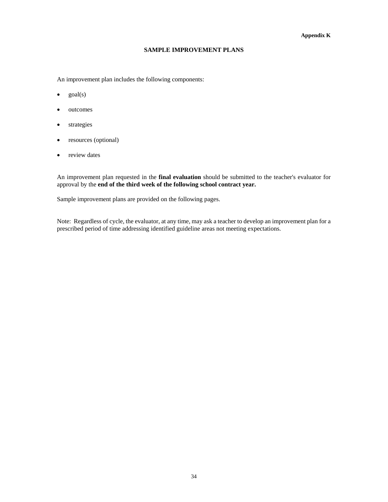#### **Appendix K**

#### **SAMPLE IMPROVEMENT PLANS**

An improvement plan includes the following components:

- $\bullet$  goal(s)
- outcomes
- strategies
- resources (optional)
- review dates

An improvement plan requested in the **final evaluation** should be submitted to the teacher's evaluator for approval by the **end of the third week of the following school contract year.**

Sample improvement plans are provided on the following pages.

Note: Regardless of cycle, the evaluator, at any time, may ask a teacher to develop an improvement plan for a prescribed period of time addressing identified guideline areas not meeting expectations.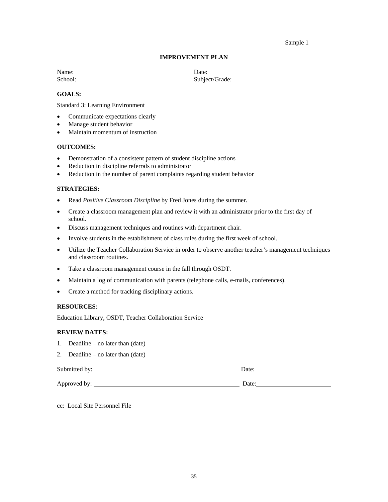#### Sample 1

#### **IMPROVEMENT PLAN**

Name: Date:

School: Subject/Grade:

## **GOALS:**

Standard 3: Learning Environment

- Communicate expectations clearly
- Manage student behavior
- Maintain momentum of instruction

#### **OUTCOMES:**

- Demonstration of a consistent pattern of student discipline actions
- Reduction in discipline referrals to administrator
- Reduction in the number of parent complaints regarding student behavior

#### **STRATEGIES:**

- Read *Positive Classroom Discipline* by Fred Jones during the summer.
- Create a classroom management plan and review it with an administrator prior to the first day of school.
- Discuss management techniques and routines with department chair.
- Involve students in the establishment of class rules during the first week of school.
- Utilize the Teacher Collaboration Service in order to observe another teacher's management techniques and classroom routines.
- Take a classroom management course in the fall through OSDT.
- Maintain a log of communication with parents (telephone calls, e-mails, conferences).
- Create a method for tracking disciplinary actions.

#### **RESOURCES**:

Education Library, OSDT, Teacher Collaboration Service

#### **REVIEW DATES:**

- 1. Deadline no later than (date)
- 2. Deadline no later than (date)

Submitted by: Date:

Approved by: Date: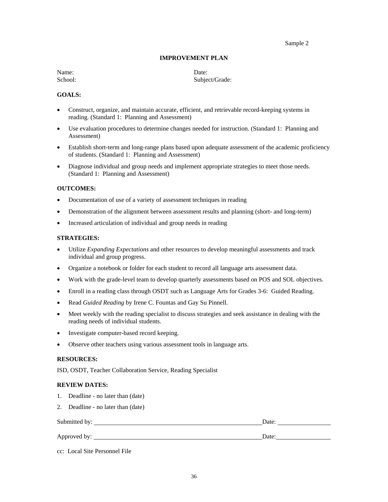Sample 2

#### **IMPROVEMENT PLAN**

Name: Date:

School: Subject/Grade:

#### **GOALS:**

- Construct, organize, and maintain accurate, efficient, and retrievable record-keeping systems in reading. (Standard 1: Planning and Assessment)
- Use evaluation procedures to determine changes needed for instruction. (Standard 1: Planning and Assessment)
- Establish short-term and long-range plans based upon adequate assessment of the academic proficiency of students. (Standard 1: Planning and Assessment)
- Diagnose individual and group needs and implement appropriate strategies to meet those needs. (Standard 1: Planning and Assessment)

#### **OUTCOMES:**

- Documentation of use of a variety of assessment techniques in reading
- Demonstration of the alignment between assessment results and planning (short- and long-term)
- Increased articulation of individual and group needs in reading

#### **STRATEGIES:**

- Utilize *Expanding Expectations* and other resources to develop meaningful assessments and track individual and group progress.
- Organize a notebook or folder for each student to record all language arts assessment data.
- Work with the grade-level team to develop quarterly assessments based on POS and SOL objectives.
- Enroll in a reading class through OSDT such as Language Arts for Grades 3-6: Guided Reading.
- Read *Guided Reading* by Irene C. Fountas and Gay Su Pinnell.
- Meet weekly with the reading specialist to discuss strategies and seek assistance in dealing with the reading needs of individual students.
- Investigate computer-based record keeping.
- Observe other teachers using various assessment tools in language arts.

#### **RESOURCES:**

ISD, OSDT, Teacher Collaboration Service, Reading Specialist

#### **REVIEW DATES:**

- 1. Deadline no later than (date)
- 2. Deadline no later than (date)

| Submitted by: | Date: |
|---------------|-------|
|               |       |
| Approved by:  | Date: |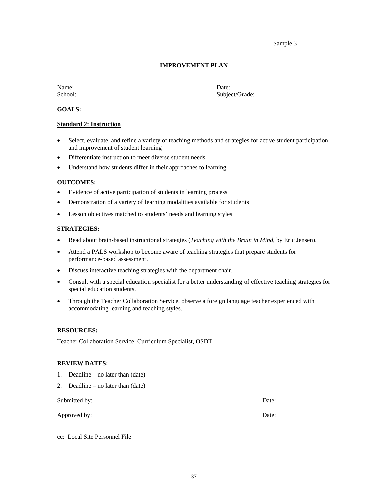Sample 3

#### **IMPROVEMENT PLAN**

Name: Date:

School: Subject/Grade:

#### **GOALS:**

#### **Standard 2: Instruction**

- Select, evaluate, and refine a variety of teaching methods and strategies for active student participation and improvement of student learning
- Differentiate instruction to meet diverse student needs
- Understand how students differ in their approaches to learning

#### **OUTCOMES:**

- Evidence of active participation of students in learning process
- Demonstration of a variety of learning modalities available for students
- Lesson objectives matched to students' needs and learning styles

#### **STRATEGIES:**

- Read about brain-based instructional strategies (*Teaching with the Brain in Mind,* by Eric Jensen).
- Attend a PALS workshop to become aware of teaching strategies that prepare students for performance-based assessment.
- Discuss interactive teaching strategies with the department chair.
- Consult with a special education specialist for a better understanding of effective teaching strategies for special education students.
- Through the Teacher Collaboration Service, observe a foreign language teacher experienced with accommodating learning and teaching styles.

#### **RESOURCES:**

Teacher Collaboration Service, Curriculum Specialist, OSDT

#### **REVIEW DATES:**

- 1. Deadline no later than (date)
- 2. Deadline no later than (date)

| Submitted by: | Date <sup>-</sup> |
|---------------|-------------------|
| Approved by:  | Date:             |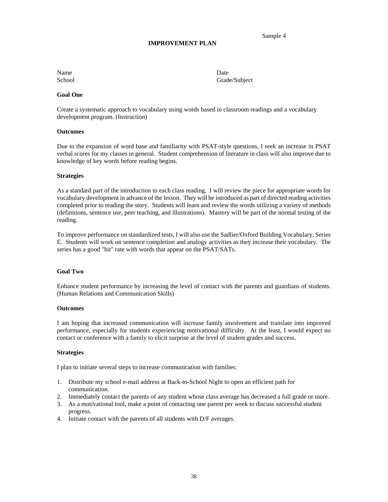## **IMPROVEMENT PLAN**

Name Date

School Grade/Subject

Sample 4

#### **Goal One**

Create a systematic approach to vocabulary using words based in classroom readings and a vocabulary development program. (Instruction)

#### **Outcomes**

Due to the expansion of word base and familiarity with PSAT-style questions, I seek an increase in PSAT verbal scores for my classes in general. Student comprehension of literature in class will also improve due to knowledge of key words before reading begins.

#### **Strategies**

As a standard part of the introduction to each class reading, I will review the piece for appropriate words for vocabulary development in advance of the lesson. They will be introduced as part of directed reading activities completed prior to reading the story. Students will learn and review the words utilizing a variety of methods (definitions, sentence use, peer teaching, and illustrations). Mastery will be part of the normal testing of the reading.

To improve performance on standardized tests, I will also use the Sadlier/Oxford Building Vocabulary, Series E. Students will work on sentence completion and analogy activities as they increase their vocabulary. The series has a good "hit" rate with words that appear on the PSAT/SATs.

#### **Goal Two**

Enhance student performance by increasing the level of contact with the parents and guardians of students. (Human Relations and Communication Skills)

#### **Outcomes**

I am hoping that increased communication will increase family involvement and translate into improved performance, especially for students experiencing motivational difficulty. At the least, I would expect no contact or conference with a family to elicit surprise at the level of student grades and success.

#### **Strategies**

I plan to initiate several steps to increase communication with families:

- 1. Distribute my school e-mail address at Back-to-School Night to open an efficient path for communication.
- 2. Immediately contact the parents of any student whose class average has decreased a full grade or more.
- 3. As a motivational tool, make a point of contacting one parent per week to discuss successful student progress.
- 4. Initiate contact with the parents of all students with D/F averages.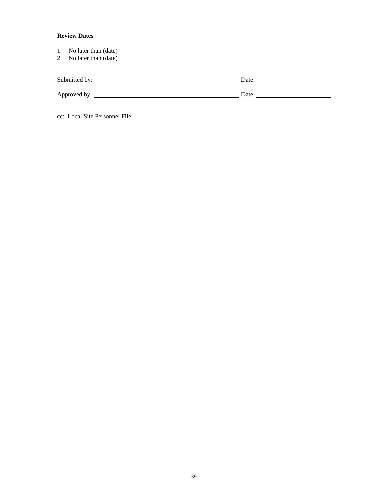## **Review Dates**

- 1. No later than (date)
- 2. No later than (date)

| Submitted by: | Date: |
|---------------|-------|
| Approved by:  | Date: |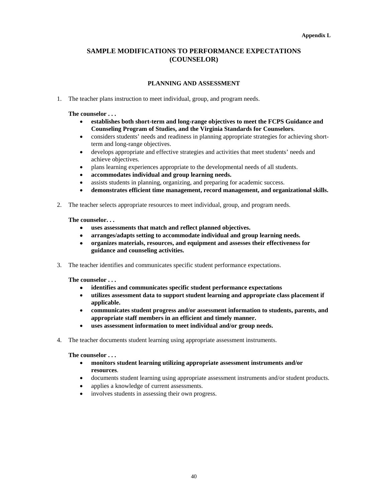#### **Appendix L**

## **SAMPLE MODIFICATIONS TO PERFORMANCE EXPECTATIONS (COUNSELOR)**

## **PLANNING AND ASSESSMENT**

1. The teacher plans instruction to meet individual, group, and program needs.

#### **The counselor . . .**

- **establishes both short-term and long-range objectives to meet the FCPS Guidance and Counseling Program of Studies, and the Virginia Standards for Counselors**.
- considers students' needs and readiness in planning appropriate strategies for achieving shortterm and long-range objectives.
- develops appropriate and effective strategies and activities that meet students' needs and achieve objectives.
- plans learning experiences appropriate to the developmental needs of all students.
- **accommodates individual and group learning needs.**
- assists students in planning, organizing, and preparing for academic success.
- **demonstrates efficient time management, record management, and organizational skills.**
- 2. The teacher selects appropriate resources to meet individual, group, and program needs.

#### **The counselor. . .**

- **uses assessments that match and reflect planned objectives.**
- **arranges/adapts setting to accommodate individual and group learning needs.**
- **organizes materials, resources, and equipment and assesses their effectiveness for guidance and counseling activities.**
- 3. The teacher identifies and communicates specific student performance expectations.

**The counselor . . .** 

- **identifies and communicates specific student performance expectations**
- **utilizes assessment data to support student learning and appropriate class placement if applicable.**
- **communicates student progress and/or assessment information to students, parents, and appropriate staff members in an efficient and timely manner.**
- **uses assessment information to meet individual and/or group needs.**
- 4. The teacher documents student learning using appropriate assessment instruments.

#### **The counselor . . .**

- **monitors student learning utilizing appropriate assessment instruments and/or resources**.
- documents student learning using appropriate assessment instruments and/or student products.
- applies a knowledge of current assessments.
- involves students in assessing their own progress.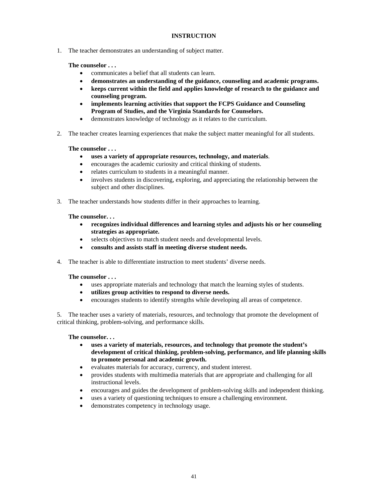## **INSTRUCTION**

1. The teacher demonstrates an understanding of subject matter.

#### **The counselor . . .**

- communicates a belief that all students can learn.
- **demonstrates an understanding of the guidance, counseling and academic programs.**
- **keeps current within the field and applies knowledge of research to the guidance and counseling program.**
- **implements learning activities that support the FCPS Guidance and Counseling Program of Studies, and the Virginia Standards for Counselors.**
- demonstrates knowledge of technology as it relates to the curriculum.
- 2. The teacher creates learning experiences that make the subject matter meaningful for all students.

#### **The counselor . . .**

- **uses a variety of appropriate resources, technology, and materials**.
- encourages the academic curiosity and critical thinking of students.
- relates curriculum to students in a meaningful manner.
- involves students in discovering, exploring, and appreciating the relationship between the subject and other disciplines.
- 3. The teacher understands how students differ in their approaches to learning.

#### **The counselor. . .**

- **recognizes individual differences and learning styles and adjusts his or her counseling strategies as appropriate.**
- selects objectives to match student needs and developmental levels.
- **consults and assists staff in meeting diverse student needs.**
- 4. The teacher is able to differentiate instruction to meet students' diverse needs.

#### **The counselor . . .**

- uses appropriate materials and technology that match the learning styles of students.
- **utilizes group activities to respond to diverse needs.**
- encourages students to identify strengths while developing all areas of competence.

5. The teacher uses a variety of materials, resources, and technology that promote the development of critical thinking, problem-solving, and performance skills.

#### **The counselor. . .**

- **uses a variety of materials, resources, and technology that promote the student's development of critical thinking, problem-solving, performance, and life planning skills to promote personal and academic growth.**
- evaluates materials for accuracy, currency, and student interest.
- provides students with multimedia materials that are appropriate and challenging for all instructional levels.
- encourages and guides the development of problem-solving skills and independent thinking.
- uses a variety of questioning techniques to ensure a challenging environment.
- demonstrates competency in technology usage.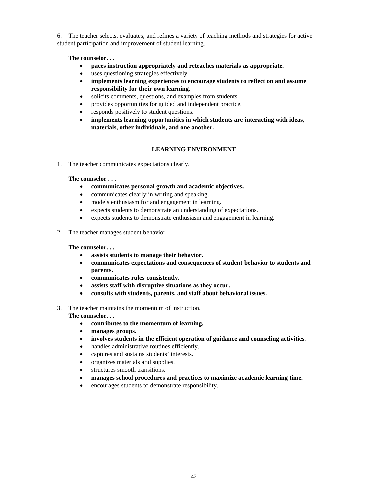6. The teacher selects, evaluates, and refines a variety of teaching methods and strategies for active student participation and improvement of student learning.

#### **The counselor. . .**

- **paces instruction appropriately and reteaches materials as appropriate.**
- uses questioning strategies effectively.
- **implements learning experiences to encourage students to reflect on and assume responsibility for their own learning.**
- solicits comments, questions, and examples from students.
- provides opportunities for guided and independent practice.
- responds positively to student questions.
- **implements learning opportunities in which students are interacting with ideas, materials, other individuals, and one another.**

## **LEARNING ENVIRONMENT**

1. The teacher communicates expectations clearly.

#### **The counselor . . .**

- **communicates personal growth and academic objectives.**
- communicates clearly in writing and speaking.
- models enthusiasm for and engagement in learning.
- expects students to demonstrate an understanding of expectations.
- expects students to demonstrate enthusiasm and engagement in learning.
- 2. The teacher manages student behavior.

#### **The counselor. . .**

- **assists students to manage their behavior.**
- **communicates expectations and consequences of student behavior to students and parents.**
- **communicates rules consistently.**
- **assists staff with disruptive situations as they occur.**
- **consults with students, parents, and staff about behavioral issues.**
- 3. The teacher maintains the momentum of instruction.

**The counselor. . .** 

- **contributes to the momentum of learning.**
- **manages groups.**
- **involves students in the efficient operation of guidance and counseling activities**.
- handles administrative routines efficiently.
- captures and sustains students' interests.
- organizes materials and supplies.
- structures smooth transitions.
- **manages school procedures and practices to maximize academic learning time.**
- encourages students to demonstrate responsibility.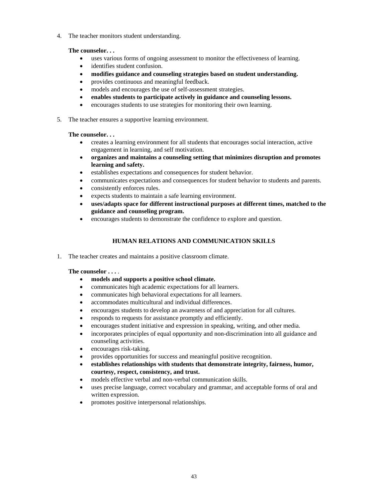4. The teacher monitors student understanding.

## **The counselor. . .**

- uses various forms of ongoing assessment to monitor the effectiveness of learning.
- identifies student confusion.
- **modifies guidance and counseling strategies based on student understanding.**
- provides continuous and meaningful feedback.
- models and encourages the use of self-assessment strategies.
- **enables students to participate actively in guidance and counseling lessons.**
- encourages students to use strategies for monitoring their own learning.
- 5. The teacher ensures a supportive learning environment.

## **The counselor. . .**

- creates a learning environment for all students that encourages social interaction, active engagement in learning, and self motivation.
- **organizes and maintains a counseling setting that minimizes disruption and promotes learning and safety.**
- establishes expectations and consequences for student behavior.
- communicates expectations and consequences for student behavior to students and parents.
- consistently enforces rules.
- expects students to maintain a safe learning environment.
- **uses/adapts space for different instructional purposes at different times, matched to the guidance and counseling program.**
- encourages students to demonstrate the confidence to explore and question.

## **HUMAN RELATIONS AND COMMUNICATION SKILLS**

1. The teacher creates and maintains a positive classroom climate.

## **The counselor . . .** .

- **models and supports a positive school climate.**
- communicates high academic expectations for all learners.
- communicates high behavioral expectations for all learners.
- accommodates multicultural and individual differences.
- encourages students to develop an awareness of and appreciation for all cultures.
- responds to requests for assistance promptly and efficiently.
- encourages student initiative and expression in speaking, writing, and other media.
- incorporates principles of equal opportunity and non-discrimination into all guidance and counseling activities.
- encourages risk-taking.
- provides opportunities for success and meaningful positive recognition.
- **establishes relationships with students that demonstrate integrity, fairness, humor, courtesy, respect, consistency, and trust.**
- models effective verbal and non-verbal communication skills.
- uses precise language, correct vocabulary and grammar, and acceptable forms of oral and written expression.
- promotes positive interpersonal relationships.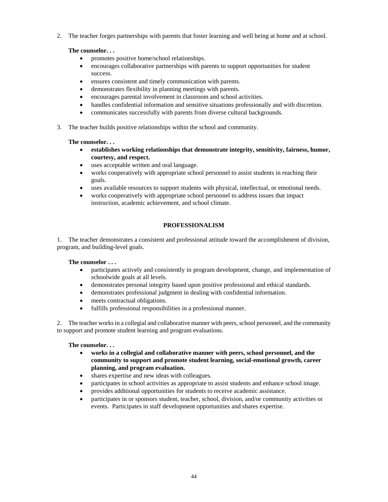2. The teacher forges partnerships with parents that foster learning and well being at home and at school.

## **The counselor. . .**

- promotes positive home/school relationships.
- encourages collaborative partnerships with parents to support opportunities for student success.
- ensures consistent and timely communication with parents.
- demonstrates flexibility in planning meetings with parents.
- encourages parental involvement in classroom and school activities.
- handles confidential information and sensitive situations professionally and with discretion.
- communicates successfully with parents from diverse cultural backgrounds.
- 3. The teacher builds positive relationships within the school and community.

## **The counselor. . .**

- **establishes working relationships that demonstrate integrity, sensitivity, fairness, humor, courtesy, and respect.**
- uses acceptable written and oral language.
- works cooperatively with appropriate school personnel to assist students in reaching their goals.
- uses available resources to support students with physical, intellectual, or emotional needs.
- works cooperatively with appropriate school personnel to address issues that impact instruction, academic achievement, and school climate.

## **PROFESSIONALISM**

1. The teacher demonstrates a consistent and professional attitude toward the accomplishment of division, program, and building-level goals.

## **The counselor . . .**

- participates actively and consistently in program development, change, and implementation of schoolwide goals at all levels.
- demonstrates personal integrity based upon positive professional and ethical standards.
- demonstrates professional judgment in dealing with confidential information.
- meets contractual obligations.
- fulfills professional responsibilities in a professional manner.

2. The teacher works in a collegial and collaborative manner with peers, school personnel, and the community to support and promote student learning and program evaluations.

## **The counselor. . .**

- **works in a collegial and collaborative manner with peers, school personnel, and the community to support and promote student learning, social-emotional growth, career planning, and program evaluation.**
- shares expertise and new ideas with colleagues.
- participates in school activities as appropriate to assist students and enhance school image.
- provides additional opportunities for students to receive academic assistance.
- participates in or sponsors student, teacher, school, division, and/or community activities or events. Participates in staff development opportunities and shares expertise.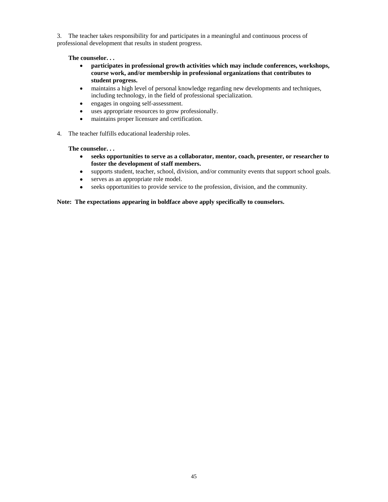3. The teacher takes responsibility for and participates in a meaningful and continuous process of professional development that results in student progress.

**The counselor. . .** 

- **participates in professional growth activities which may include conferences, workshops, course work, and/or membership in professional organizations that contributes to student progress.**
- maintains a high level of personal knowledge regarding new developments and techniques, including technology, in the field of professional specialization.
- engages in ongoing self-assessment.
- uses appropriate resources to grow professionally.
- maintains proper licensure and certification.
- 4. The teacher fulfills educational leadership roles.

**The counselor. . .** 

- **seeks opportunities to serve as a collaborator, mentor, coach, presenter, or researcher to foster the development of staff members.**
- supports student, teacher, school, division, and/or community events that support school goals.
- serves as an appropriate role model.
- seeks opportunities to provide service to the profession, division, and the community.

#### **Note: The expectations appearing in boldface above apply specifically to counselors.**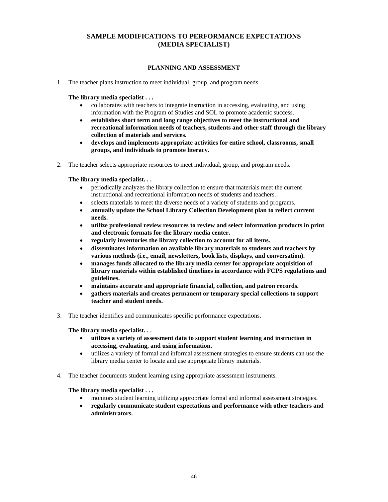## **SAMPLE MODIFICATIONS TO PERFORMANCE EXPECTATIONS (MEDIA SPECIALIST)**

## **PLANNING AND ASSESSMENT**

1. The teacher plans instruction to meet individual, group, and program needs.

**The library media specialist . . .** 

- collaborates with teachers to integrate instruction in accessing, evaluating, and using information with the Program of Studies and SOL to promote academic success.
- **establishes short term and long range objectives to meet the instructional and recreational information needs of teachers, students and other staff through the library collection of materials and services.**
- **develops and implements appropriate activities for entire school, classrooms, small groups, and individuals to promote literacy.**
- 2. The teacher selects appropriate resources to meet individual, group, and program needs.

 **The library media specialist. . .** 

- periodically analyzes the library collection to ensure that materials meet the current instructional and recreational information needs of students and teachers.
- selects materials to meet the diverse needs of a variety of students and programs.
- **annually update the School Library Collection Development plan to reflect current needs.**
- **utilize professional review resources to review and select information products in print and electronic formats for the library media center.**
- **regularly inventories the library collection to account for all items.**
- **disseminates information on available library materials to students and teachers by various methods (i.e., email, newsletters, book lists, displays, and conversation).**
- **manages funds allocated to the library media center for appropriate acquisition of library materials within established timelines in accordance with FCPS regulations and guidelines.**
- **maintains accurate and appropriate financial, collection, and patron records.**
- **gathers materials and creates permanent or temporary special collections to support teacher and student needs.**
- 3. The teacher identifies and communicates specific performance expectations.

**The library media specialist. . .** 

- **utilizes a variety of assessment data to support student learning and instruction in accessing, evaluating, and using information.**
- utilizes a variety of formal and informal assessment strategies to ensure students can use the library media center to locate and use appropriate library materials.
- 4. The teacher documents student learning using appropriate assessment instruments.

- monitors student learning utilizing appropriate formal and informal assessment strategies.
- **regularly communicate student expectations and performance with other teachers and administrators.**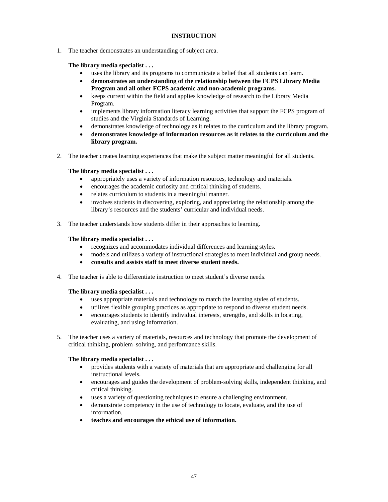## **INSTRUCTION**

1. The teacher demonstrates an understanding of subject area.

## **The library media specialist . . .**

- uses the library and its programs to communicate a belief that all students can learn.
- **demonstrates an understanding of the relationship between the FCPS Library Media Program and all other FCPS academic and non-academic programs.**
- keeps current within the field and applies knowledge of research to the Library Media Program.
- implements library information literacy learning activities that support the FCPS program of studies and the Virginia Standards of Learning.
- demonstrates knowledge of technology as it relates to the curriculum and the library program.
- **demonstrates knowledge of information resources as it relates to the curriculum and the library program.**
- 2. The teacher creates learning experiences that make the subject matter meaningful for all students.

## **The library media specialist . . .**

- appropriately uses a variety of information resources, technology and materials.
- encourages the academic curiosity and critical thinking of students.
- relates curriculum to students in a meaningful manner.
- involves students in discovering, exploring, and appreciating the relationship among the library's resources and the students' curricular and individual needs.
- 3. The teacher understands how students differ in their approaches to learning.

## **The library media specialist . . .**

- recognizes and accommodates individual differences and learning styles.
- models and utilizes a variety of instructional strategies to meet individual and group needs.
- **consults and assists staff to meet diverse student needs.**
- 4. The teacher is able to differentiate instruction to meet student's diverse needs.

## **The library media specialist . . .**

- uses appropriate materials and technology to match the learning styles of students.
- utilizes flexible grouping practices as appropriate to respond to diverse student needs.
- encourages students to identify individual interests, strengths, and skills in locating, evaluating, and using information.
- 5. The teacher uses a variety of materials, resources and technology that promote the development of critical thinking, problem–solving, and performance skills.

- provides students with a variety of materials that are appropriate and challenging for all instructional levels.
- encourages and guides the development of problem-solving skills, independent thinking, and critical thinking.
- uses a variety of questioning techniques to ensure a challenging environment.
- demonstrate competency in the use of technology to locate, evaluate, and the use of information.
- **teaches and encourages the ethical use of information.**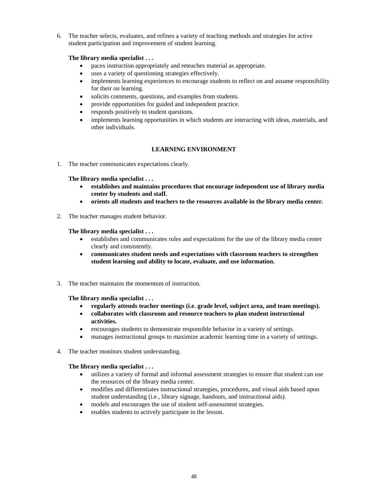6. The teacher selects, evaluates, and refines a variety of teaching methods and strategies for active student participation and improvement of student learning.

## **The library media specialist . . .**

- paces instruction appropriately and reteaches material as appropriate.
- uses a variety of questioning strategies effectively.
- implements learning experiences to encourage students to reflect on and assume responsibility for their on learning.
- solicits comments, questions, and examples from students.
- provide opportunities for guided and independent practice.
- responds positively to student questions.
- implements learning opportunities in which students are interacting with ideas, materials, and other individuals.

## **LEARNING ENVIRONMENT**

1. The teacher communicates expectations clearly.

**The library media specialist . . .** 

- **establishes and maintains procedures that encourage independent use of library media center by students and staff.**
- **orients all students and teachers to the resources available in the library media center.**
- 2. The teacher manages student behavior.

#### **The library media specialist . . .**

- establishes and communicates rules and expectations for the use of the library media center clearly and consistently.
- **communicates student needs and expectations with classroom teachers to strengthen student learning and ability to locate, evaluate, and use information.**
- 3. The teacher maintains the momentum of instruction.

## **The library media specialist . . .**

- **regularly attends teacher meetings (i.e. grade level, subject area, and team meetings).**
- **collaborates with classroom and resource teachers to plan student instructional activities.**
- encourages students to demonstrate responsible behavior in a variety of settings.
- manages instructional groups to maximize academic learning time in a variety of settings.
- 4. The teacher monitors student understanding.

- utilizes a variety of formal and informal assessment strategies to ensure that student can use the resources of the library media center.
- modifies and differentiates instructional strategies, procedures, and visual aids based upon student understanding (i.e., library signage, handouts, and instructional aids).
- models and encourages the use of student self-assessment strategies.
- enables students to actively participate in the lesson.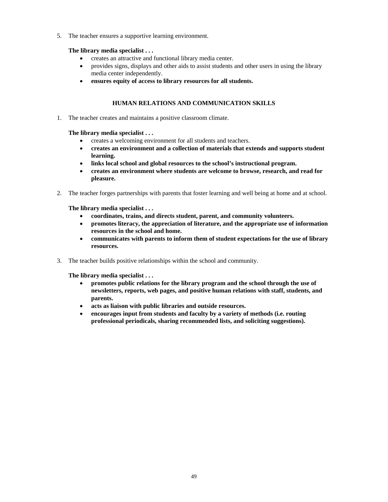5. The teacher ensures a supportive learning environment.

## **The library media specialist . . .**

- creates an attractive and functional library media center.
- provides signs, displays and other aids to assist students and other users in using the library media center independently.
- **ensures equity of access to library resources for all students.**

## **HUMAN RELATIONS AND COMMUNICATION SKILLS**

1. The teacher creates and maintains a positive classroom climate.

**The library media specialist . . .** 

- creates a welcoming environment for all students and teachers.
- **creates an environment and a collection of materials that extends and supports student learning.**
- **links local school and global resources to the school's instructional program.**
- **creates an environment where students are welcome to browse, research, and read for pleasure.**
- 2. The teacher forges partnerships with parents that foster learning and well being at home and at school.

**The library media specialist . . .** 

- **coordinates, trains, and directs student, parent, and community volunteers.**
- **promotes literacy, the appreciation of literature, and the appropriate use of information resources in the school and home.**
- **communicates with parents to inform them of student expectations for the use of library resources.**
- 3. The teacher builds positive relationships within the school and community.

- **promotes public relations for the library program and the school through the use of newsletters, reports, web pages, and positive human relations with staff, students, and parents.**
- **acts as liaison with public libraries and outside resources.**
- **encourages input from students and faculty by a variety of methods (i.e. routing professional periodicals, sharing recommended lists, and soliciting suggestions).**